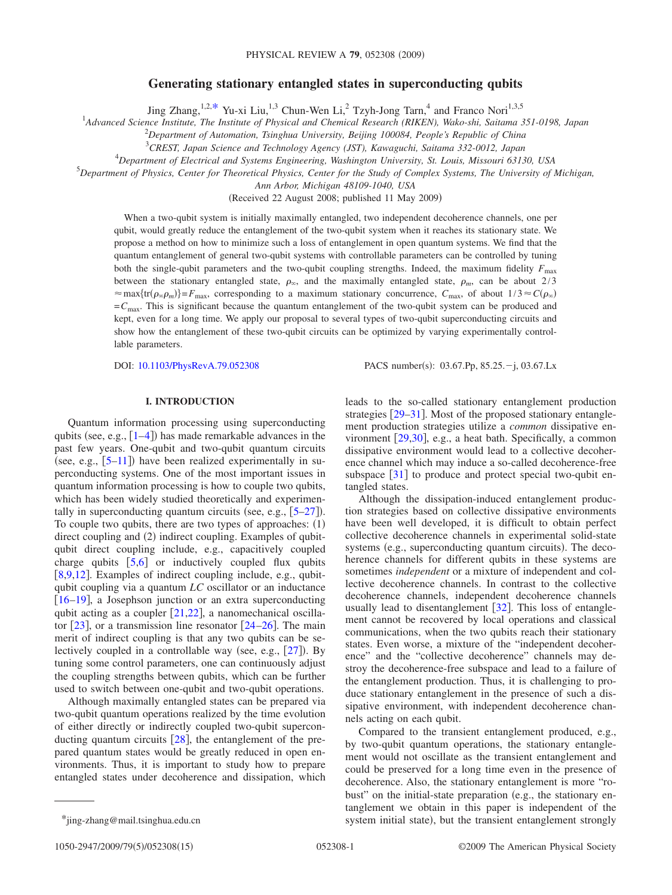# **Generating stationary entangled states in superconducting qubits**

Jing Zhang,<sup>1,2[,\\*](#page-0-0)</sup> Yu-xi Liu,<sup>1,3</sup> Chun-Wen Li,<sup>2</sup> Tzyh-Jong Tarn,<sup>4</sup> and Franco Nori<sup>1,3,5</sup>

1 *Advanced Science Institute, The Institute of Physical and Chemical Research (RIKEN), Wako-shi, Saitama 351-0198, Japan*

2 *Department of Automation, Tsinghua University, Beijing 100084, People's Republic of China*

3 *CREST, Japan Science and Technology Agency (JST), Kawaguchi, Saitama 332-0012, Japan*

4 *Department of Electrical and Systems Engineering, Washington University, St. Louis, Missouri 63130, USA*

5 *Department of Physics, Center for Theoretical Physics, Center for the Study of Complex Systems, The University of Michigan,*

*Ann Arbor, Michigan 48109-1040, USA*

(Received 22 August 2008; published 11 May 2009)

When a two-qubit system is initially maximally entangled, two independent decoherence channels, one per qubit, would greatly reduce the entanglement of the two-qubit system when it reaches its stationary state. We propose a method on how to minimize such a loss of entanglement in open quantum systems. We find that the quantum entanglement of general two-qubit systems with controllable parameters can be controlled by tuning both the single-qubit parameters and the two-qubit coupling strengths. Indeed, the maximum fidelity  $F_{\text{max}}$ between the stationary entangled state,  $\rho_{\infty}$ , and the maximally entangled state,  $\rho_m$ , can be about 2/3  $\approx$  max $\{tr(\rho_{\infty}\rho_m)\}=F_{\text{max}}$ , corresponding to a maximum stationary concurrence,  $C_{\text{max}}$ , of about  $1/3 \approx C(\rho_{\infty})$ =*C*max. This is significant because the quantum entanglement of the two-qubit system can be produced and kept, even for a long time. We apply our proposal to several types of two-qubit superconducting circuits and show how the entanglement of these two-qubit circuits can be optimized by varying experimentally controllable parameters.

DOI: [10.1103/PhysRevA.79.052308](http://dx.doi.org/10.1103/PhysRevA.79.052308)

PACS number(s):  $03.67 \text{.}Pp, 85.25 - j, 03.67 \text{.}Lx$ 

### **I. INTRODUCTION**

Quantum information processing using superconducting qubits (see, e.g.,  $[1-4]$  $[1-4]$  $[1-4]$ ) has made remarkable advances in the past few years. One-qubit and two-qubit quantum circuits (see, e.g.,  $[5-11]$  $[5-11]$  $[5-11]$ ) have been realized experimentally in superconducting systems. One of the most important issues in quantum information processing is how to couple two qubits, which has been widely studied theoretically and experimentally in superconducting quantum circuits (see, e.g.,  $[5-27]$  $[5-27]$  $[5-27]$ ). To couple two qubits, there are two types of approaches:  $(1)$ direct coupling and (2) indirect coupling. Examples of qubitqubit direct coupling include, e.g., capacitively coupled charge qubits  $[5,6]$  $[5,6]$  $[5,6]$  $[5,6]$  or inductively coupled flux qubits [ $8,9,12$  $8,9,12$  $8,9,12$ ]. Examples of indirect coupling include, e.g., qubitqubit coupling via a quantum *LC* oscillator or an inductance  $[16–19]$  $[16–19]$  $[16–19]$  $[16–19]$ , a Josephson junction or an extra superconducting qubit acting as a coupler  $[21,22]$  $[21,22]$  $[21,22]$  $[21,22]$ , a nanomechanical oscillator  $[23]$  $[23]$  $[23]$ , or a transmission line resonator  $[24–26]$  $[24–26]$  $[24–26]$  $[24–26]$ . The main merit of indirect coupling is that any two qubits can be selectively coupled in a controllable way (see, e.g.,  $[27]$  $[27]$  $[27]$ ). By tuning some control parameters, one can continuously adjust the coupling strengths between qubits, which can be further used to switch between one-qubit and two-qubit operations.

Although maximally entangled states can be prepared via two-qubit quantum operations realized by the time evolution of either directly or indirectly coupled two-qubit superconducting quantum circuits  $[28]$  $[28]$  $[28]$ , the entanglement of the prepared quantum states would be greatly reduced in open environments. Thus, it is important to study how to prepare entangled states under decoherence and dissipation, which leads to the so-called stationary entanglement production strategies  $[29-31]$  $[29-31]$  $[29-31]$ . Most of the proposed stationary entanglement production strategies utilize a *common* dissipative environment [29,](#page-13-17)[30](#page-14-1), e.g., a heat bath. Specifically, a common dissipative environment would lead to a collective decoherence channel which may induce a so-called decoherence-free subspace  $\lceil 31 \rceil$  $\lceil 31 \rceil$  $\lceil 31 \rceil$  to produce and protect special two-qubit entangled states.

Although the dissipation-induced entanglement production strategies based on collective dissipative environments have been well developed, it is difficult to obtain perfect collective decoherence channels in experimental solid-state systems (e.g., superconducting quantum circuits). The decoherence channels for different qubits in these systems are sometimes *independent* or a mixture of independent and collective decoherence channels. In contrast to the collective decoherence channels, independent decoherence channels usually lead to disentanglement [[32](#page-14-2)]. This loss of entanglement cannot be recovered by local operations and classical communications, when the two qubits reach their stationary states. Even worse, a mixture of the "independent decoherence" and the "collective decoherence" channels may destroy the decoherence-free subspace and lead to a failure of the entanglement production. Thus, it is challenging to produce stationary entanglement in the presence of such a dissipative environment, with independent decoherence channels acting on each qubit.

Compared to the transient entanglement produced, e.g., by two-qubit quantum operations, the stationary entanglement would not oscillate as the transient entanglement and could be preserved for a long time even in the presence of decoherence. Also, the stationary entanglement is more "robust" on the initial-state preparation (e.g., the stationary entanglement we obtain in this paper is independent of the system initial state), but the transient entanglement strongly

<span id="page-0-0"></span> $*$ jing-zhang@mail.tsinghua.edu.cn

<sup>1050-2947/2009/79(5)/052308(15)</sup>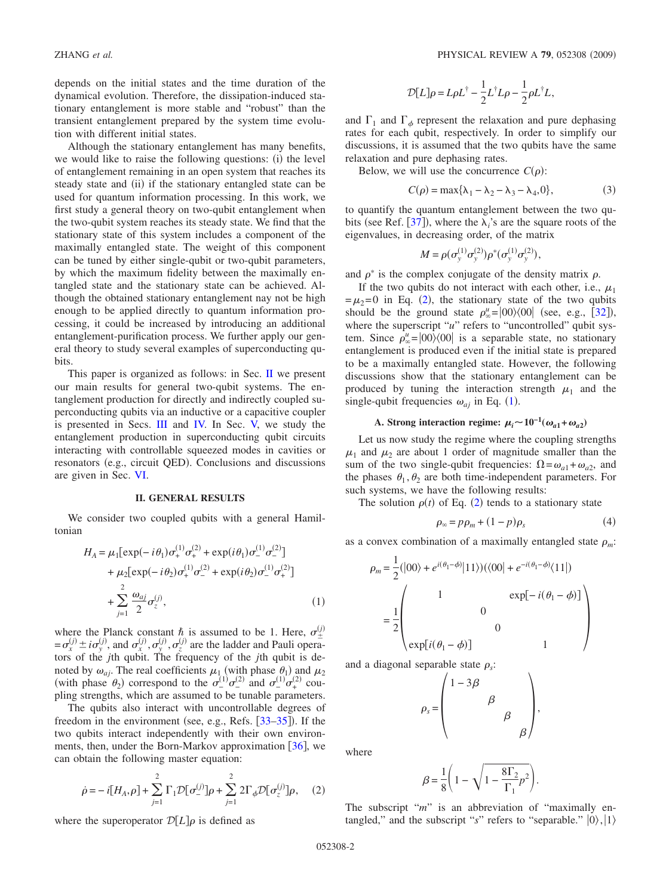depends on the initial states and the time duration of the dynamical evolution. Therefore, the dissipation-induced stationary entanglement is more stable and "robust" than the transient entanglement prepared by the system time evolution with different initial states.

Although the stationary entanglement has many benefits, we would like to raise the following questions: (i) the level of entanglement remaining in an open system that reaches its steady state and (ii) if the stationary entangled state can be used for quantum information processing. In this work, we first study a general theory on two-qubit entanglement when the two-qubit system reaches its steady state. We find that the stationary state of this system includes a component of the maximally entangled state. The weight of this component can be tuned by either single-qubit or two-qubit parameters, by which the maximum fidelity between the maximally entangled state and the stationary state can be achieved. Although the obtained stationary entanglement nay not be high enough to be applied directly to quantum information processing, it could be increased by introducing an additional entanglement-purification process. We further apply our general theory to study several examples of superconducting qubits.

This paper is organized as follows: in Sec.  $\Pi$  we present our main results for general two-qubit systems. The entanglement production for directly and indirectly coupled superconducting qubits via an inductive or a capacitive coupler is presented in Secs. [III](#page-5-0) and [IV.](#page-7-0) In Sec. [V,](#page-8-0) we study the entanglement production in superconducting qubit circuits interacting with controllable squeezed modes in cavities or resonators (e.g., circuit QED). Conclusions and discussions are given in Sec. [VI.](#page-10-0)

#### **II. GENERAL RESULTS**

<span id="page-1-0"></span>We consider two coupled qubits with a general Hamiltonian

<span id="page-1-2"></span>
$$
H_A = \mu_1 [\exp(-i\theta_1)\sigma_+^{(1)}\sigma_+^{(2)} + \exp(i\theta_1)\sigma_-^{(1)}\sigma_-^{(2)}] + \mu_2 [\exp(-i\theta_2)\sigma_+^{(1)}\sigma_-^{(2)} + \exp(i\theta_2)\sigma_-^{(1)}\sigma_+^{(2)}] + \sum_{j=1}^2 \frac{\omega_{aj}}{2} \sigma_z^{(j)},
$$
(1)

where the Planck constant  $\hbar$  is assumed to be 1. Here,  $\sigma_{\pm}^{(j)}$  $=\sigma_x^{(j)} \pm i\sigma_y^{(j)}$ , and  $\sigma_x^{(j)}$ ,  $\sigma_y^{(j)}$ ,  $\sigma_z^{(j)}$  are the ladder and Pauli operators of the *j*th qubit. The frequency of the *j*th qubit is denoted by  $\omega_{aj}$ . The real coefficients  $\mu_1$  (with phase  $\theta_1$ ) and  $\mu_2$ (with phase  $\theta_2$ ) correspond to the  $\sigma_-^{(1)} \sigma_-^{(2)}$  and  $\sigma_-^{(1)} \sigma_+^{(2)}$  coupling strengths, which are assumed to be tunable parameters.

The qubits also interact with uncontrollable degrees of freedom in the environment (see, e.g., Refs.  $[33-35]$  $[33-35]$  $[33-35]$ ). If the two qubits interact independently with their own environments, then, under the Born-Markov approximation  $[36]$  $[36]$  $[36]$ , we can obtain the following master equation:

$$
\dot{\rho} = -i[H_A, \rho] + \sum_{j=1}^{2} \Gamma_1 \mathcal{D}[\sigma_-^{(j)}] \rho + \sum_{j=1}^{2} 2 \Gamma_{\phi} \mathcal{D}[\sigma_z^{(j)}] \rho, \quad (2)
$$

<span id="page-1-1"></span>where the superoperator  $\mathcal{D}[L]\rho$  is defined as

$$
\mathcal{D}[L]\rho = L\rho L^{\dagger} - \frac{1}{2}L^{\dagger}L\rho - \frac{1}{2}\rho L^{\dagger}L,
$$

and  $\Gamma_1$  and  $\Gamma_\phi$  represent the relaxation and pure dephasing rates for each qubit, respectively. In order to simplify our discussions, it is assumed that the two qubits have the same relaxation and pure dephasing rates.

Below, we will use the concurrence  $C(\rho)$ :

$$
C(\rho) = \max\{\lambda_1 - \lambda_2 - \lambda_3 - \lambda_4, 0\},\tag{3}
$$

to quantify the quantum entanglement between the two qubits (see Ref.  $[37]$  $[37]$  $[37]$ ), where the  $\lambda_i$ 's are the square roots of the eigenvalues, in decreasing order, of the matrix

$$
M = \rho(\sigma_{y}^{(1)}\sigma_{y}^{(2)})\rho^*(\sigma_{y}^{(1)}\sigma_{y}^{(2)}),
$$

and  $\rho^*$  is the complex conjugate of the density matrix  $\rho$ .

If the two qubits do not interact with each other, i.e.,  $\mu_1$  $=\mu_2=0$  $=\mu_2=0$  $=\mu_2=0$  in Eq. (2), the stationary state of the two qubits should be the ground state  $\rho_{\infty}^u = |00\rangle\langle00|$  (see, e.g., [[32](#page-14-2)]), where the superscript "u" refers to "uncontrolled" qubit system. Since  $\rho_{\infty}^{\mu} = |00\rangle\langle 00|$  is a separable state, no stationary entanglement is produced even if the initial state is prepared to be a maximally entangled state. However, the following discussions show that the stationary entanglement can be produced by tuning the interaction strength  $\mu_1$  and the single-qubit frequencies  $\omega_{aj}$  in Eq. ([1](#page-1-2)).

# **A.** Strong interaction regime:  $\mu_i \sim 10^{-1}(\omega_{a1} + \omega_{a2})$

<span id="page-1-3"></span>Let us now study the regime where the coupling strengths  $\mu_1$  and  $\mu_2$  are about 1 order of magnitude smaller than the sum of the two single-qubit frequencies:  $\Omega = \omega_{a1} + \omega_{a2}$ , and the phases  $\theta_1, \theta_2$  are both time-independent parameters. For such systems, we have the following results:

The solution  $\rho(t)$  of Eq. ([2](#page-1-1)) tends to a stationary state

$$
\rho_{\infty} = p\rho_m + (1 - p)\rho_s \tag{4}
$$

as a convex combination of a maximally entangled state  $\rho_m$ :

$$
\rho_m = \frac{1}{2} (|00\rangle + e^{i(\theta_1 - \phi)} |11\rangle) (\langle 00| + e^{-i(\theta_1 - \phi)} \langle 11|)
$$

$$
= \frac{1}{2} \begin{pmatrix} 1 & \exp[-i(\theta_1 - \phi)] \\ 0 & 0 \\ \exp[i(\theta_1 - \phi)] & 1 \end{pmatrix}
$$

and a diagonal separable state  $\rho_s$ :

$$
\rho_s = \begin{pmatrix} 1 - 3\beta & & & \\ & \beta & & \\ & & \beta & \\ & & & \beta \end{pmatrix},
$$

where

$$
\beta = \frac{1}{8} \left( 1 - \sqrt{1 - \frac{8\Gamma_2}{\Gamma_1} p^2} \right).
$$

The subscript "*m*" is an abbreviation of "maximally entangled," and the subscript "s" refers to "separable."  $|0\rangle, |1\rangle$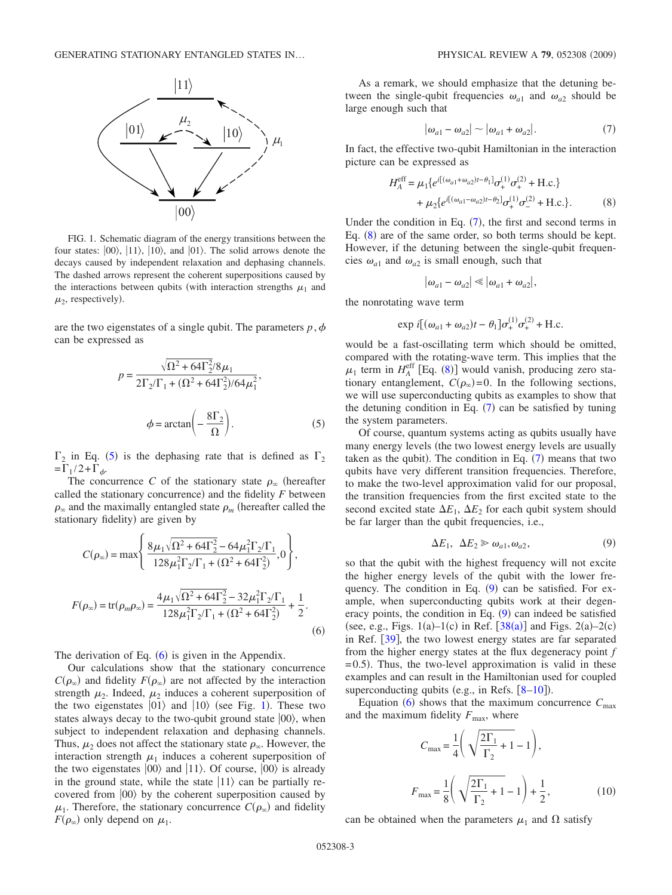<span id="page-2-2"></span>

FIG. 1. Schematic diagram of the energy transitions between the four states:  $|00\rangle$ ,  $|11\rangle$ ,  $|10\rangle$ , and  $|01\rangle$ . The solid arrows denote the decays caused by independent relaxation and dephasing channels. The dashed arrows represent the coherent superpositions caused by the interactions between qubits (with interaction strengths  $\mu_1$  and  $\mu_2$ , respectively).

<span id="page-2-0"></span>are the two eigenstates of a single qubit. The parameters  $p, \phi$ can be expressed as

$$
p = \frac{\sqrt{\Omega^2 + 64\Gamma_2^2/8\mu_1}}{2\Gamma_2/\Gamma_1 + (\Omega^2 + 64\Gamma_2^2)/64\mu_1^2},
$$
  

$$
\phi = \arctan\left(-\frac{8\Gamma_2}{\Omega}\right).
$$
 (5)

 $\Gamma_2$  in Eq. ([5](#page-2-0)) is the dephasing rate that is defined as  $\Gamma_2$  $=\Gamma_1/2+\Gamma_\phi.$ 

The concurrence *C* of the stationary state  $\rho_{\infty}$  (hereafter called the stationary concurrence) and the fidelity  $F$  between  $\rho_{\infty}$  and the maximally entangled state  $\rho_m$  (hereafter called the stationary fidelity) are given by

<span id="page-2-1"></span>
$$
C(\rho_{\infty}) = \max \left\{ \frac{8\mu_1 \sqrt{\Omega^2 + 64\Gamma_2^2} - 64\mu_1^2 \Gamma_2/\Gamma_1}{128\mu_1^2 \Gamma_2/\Gamma_1 + (\Omega^2 + 64\Gamma_2^2)}, 0 \right\},
$$
  

$$
F(\rho_{\infty}) = \text{tr}(\rho_m \rho_{\infty}) = \frac{4\mu_1 \sqrt{\Omega^2 + 64\Gamma_2^2} - 32\mu_1^2 \Gamma_2/\Gamma_1}{128\mu_1^2 \Gamma_2/\Gamma_1 + (\Omega^2 + 64\Gamma_2^2)} + \frac{1}{2}.
$$
 (6)

The derivation of Eq.  $(6)$  $(6)$  $(6)$  is given in the Appendix.

Our calculations show that the stationary concurrence  $C(\rho_{\infty})$  and fidelity  $F(\rho_{\infty})$  are not affected by the interaction strength  $\mu_2$ . Indeed,  $\mu_2$  induces a coherent superposition of the two eigenstates  $|01\rangle$  $|01\rangle$  $|01\rangle$  and  $|10\rangle$  (see Fig. 1). These two states always decay to the two-qubit ground state  $|00\rangle$ , when subject to independent relaxation and dephasing channels. Thus,  $\mu_2$  does not affect the stationary state  $\rho_{\infty}$ . However, the interaction strength  $\mu_1$  induces a coherent superposition of the two eigenstates  $|00\rangle$  and  $|11\rangle$ . Of course,  $|00\rangle$  is already in the ground state, while the state  $|11\rangle$  can be partially recovered from  $|00\rangle$  by the coherent superposition caused by  $\mu_1$ . Therefore, the stationary concurrence  $C(\rho_\infty)$  and fidelity  $F(\rho_{\infty})$  only depend on  $\mu_1$ .

As a remark, we should emphasize that the detuning between the single-qubit frequencies  $\omega_{a1}$  and  $\omega_{a2}$  should be large enough such that

$$
|\omega_{a1} - \omega_{a2}| \sim |\omega_{a1} + \omega_{a2}|. \tag{7}
$$

<span id="page-2-3"></span>In fact, the effective two-qubit Hamiltonian in the interaction picture can be expressed as

$$
H_A^{\text{eff}} = \mu_1 \{ e^{i[(\omega_{a1} + \omega_{a2})t - \theta_1]} \sigma_+^{(1)} \sigma_+^{(2)} + \text{H.c.} \} + \mu_2 \{ e^{i[(\omega_{a1} - \omega_{a2})t - \theta_2]} \sigma_+^{(1)} \sigma_-^{(2)} + \text{H.c.} \}.
$$
(8)

<span id="page-2-4"></span>Under the condition in Eq.  $(7)$  $(7)$  $(7)$ , the first and second terms in Eq.  $(8)$  $(8)$  $(8)$  are of the same order, so both terms should be kept. However, if the detuning between the single-qubit frequencies  $\omega_{a1}$  and  $\omega_{a2}$  is small enough, such that

$$
|\omega_{a1}-\omega_{a2}|\ll |\omega_{a1}+\omega_{a2}|,
$$

the nonrotating wave term

$$
\exp i[(\omega_{a1} + \omega_{a2})t - \theta_1]\sigma_+^{(1)}\sigma_+^{(2)} + \text{H.c.})
$$

would be a fast-oscillating term which should be omitted, compared with the rotating-wave term. This implies that the  $\mu_1$  term in  $H_A^{\text{eff}}$  [Eq. ([8](#page-2-4))] would vanish, producing zero stationary entanglement,  $C(\rho_\infty)=0$ . In the following sections, we will use superconducting qubits as examples to show that the detuning condition in Eq.  $(7)$  $(7)$  $(7)$  can be satisfied by tuning the system parameters.

Of course, quantum systems acting as qubits usually have many energy levels (the two lowest energy levels are usually taken as the qubit). The condition in Eq.  $(7)$  $(7)$  $(7)$  means that two qubits have very different transition frequencies. Therefore, to make the two-level approximation valid for our proposal, the transition frequencies from the first excited state to the second excited state  $\Delta E_1$ ,  $\Delta E_2$  for each qubit system should be far larger than the qubit frequencies, i.e.,

$$
\Delta E_1, \ \Delta E_2 \ge \omega_{a1}, \omega_{a2}, \tag{9}
$$

<span id="page-2-5"></span>so that the qubit with the highest frequency will not excite the higher energy levels of the qubit with the lower frequency. The condition in Eq.  $(9)$  $(9)$  $(9)$  can be satisfied. For example, when superconducting qubits work at their degeneracy points, the condition in Eq.  $(9)$  $(9)$  $(9)$  can indeed be satisfied (see, e.g., Figs.  $1(a)-1(c)$  in Ref.  $[38(a)]$  $[38(a)]$  $[38(a)]$  and Figs.  $2(a)-2(c)$ in Ref. [[39](#page-14-8)], the two lowest energy states are far separated from the higher energy states at the flux degeneracy point *f*  $= 0.5$ ). Thus, the two-level approximation is valid in these examples and can result in the Hamiltonian used for coupled superconducting qubits (e.g., in Refs.  $[8-10]$  $[8-10]$  $[8-10]$ ).

<span id="page-2-6"></span>Equation ([6](#page-2-1)) shows that the maximum concurrence  $C_{\text{max}}$ and the maximum fidelity  $F_{\text{max}}$ , where

$$
C_{\text{max}} = \frac{1}{4} \left( \sqrt{\frac{2\Gamma_1}{\Gamma_2} + 1} - 1 \right),
$$
  

$$
F_{\text{max}} = \frac{1}{8} \left( \sqrt{\frac{2\Gamma_1}{\Gamma_2} + 1} - 1 \right) + \frac{1}{2},
$$
 (10)

can be obtained when the parameters  $\mu_1$  and  $\Omega$  satisfy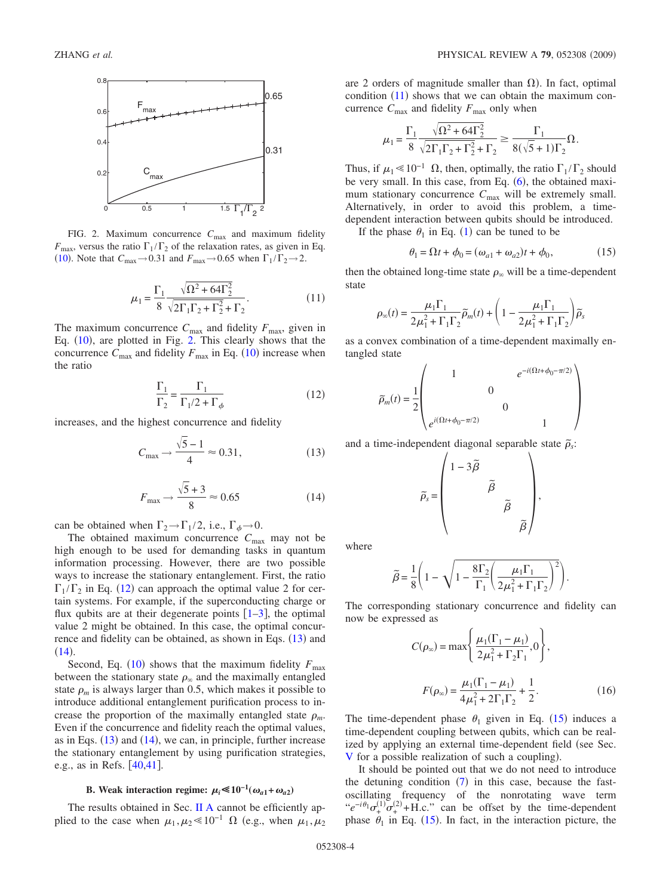<span id="page-3-0"></span>

FIG. 2. Maximum concurrence  $C_{\text{max}}$  and maximum fidelity  $F_{\text{max}}$ , versus the ratio  $\Gamma_1/\Gamma_2$  of the relaxation rates, as given in Eq. ([10](#page-2-6)). Note that  $C_{\text{max}} \rightarrow 0.31$  and  $F_{\text{max}} \rightarrow 0.65$  when  $\Gamma_1/\Gamma_2 \rightarrow 2$ .

$$
\mu_1 = \frac{\Gamma_1}{8} \frac{\sqrt{\Omega^2 + 64\Gamma_2^2}}{\sqrt{2\Gamma_1\Gamma_2 + \Gamma_2^2} + \Gamma_2}.
$$
 (11)

<span id="page-3-4"></span>The maximum concurrence  $C_{\text{max}}$  and fidelity  $F_{\text{max}}$ , given in Eq.  $(10)$  $(10)$  $(10)$ , are plotted in Fig. [2.](#page-3-0) This clearly shows that the concurrence  $C_{\text{max}}$  and fidelity  $F_{\text{max}}$  in Eq. ([10](#page-2-6)) increase when the ratio

$$
\frac{\Gamma_1}{\Gamma_2} = \frac{\Gamma_1}{\Gamma_1/2 + \Gamma_\phi} \tag{12}
$$

<span id="page-3-2"></span><span id="page-3-1"></span>increases, and the highest concurrence and fidelity

$$
C_{\text{max}} \to \frac{\sqrt{5} - 1}{4} \approx 0.31,\tag{13}
$$

$$
F_{\text{max}} \to \frac{\sqrt{5} + 3}{8} \approx 0.65 \tag{14}
$$

<span id="page-3-3"></span>can be obtained when  $\Gamma_2 \rightarrow \Gamma_1/2$ , i.e.,  $\Gamma_{\phi} \rightarrow 0$ .

The obtained maximum concurrence  $C_{\text{max}}$  may not be high enough to be used for demanding tasks in quantum information processing. However, there are two possible ways to increase the stationary entanglement. First, the ratio  $\Gamma_1/\Gamma_2$  in Eq. ([12](#page-3-1)) can approach the optimal value 2 for certain systems. For example, if the superconducting charge or flux qubits are at their degenerate points  $[1-3]$  $[1-3]$  $[1-3]$ , the optimal value 2 might be obtained. In this case, the optimal concur-rence and fidelity can be obtained, as shown in Eqs. ([13](#page-3-2)) and  $(14).$  $(14).$  $(14).$ 

Second, Eq. ([10](#page-2-6)) shows that the maximum fidelity  $F_{\text{max}}$ between the stationary state  $\rho_{\infty}$  and the maximally entangled state  $\rho_m$  is always larger than 0.5, which makes it possible to introduce additional entanglement purification process to increase the proportion of the maximally entangled state  $\rho_m$ . Even if the concurrence and fidelity reach the optimal values, as in Eqs.  $(13)$  $(13)$  $(13)$  and  $(14)$  $(14)$  $(14)$ , we can, in principle, further increase the stationary entanglement by using purification strategies, e.g., as in Refs.  $[40, 41]$  $[40, 41]$  $[40, 41]$ .

# **B.** Weak interaction regime:  $\mu_i \le 10^{-1}(\omega_{a1} + \omega_{a2})$

<span id="page-3-7"></span>The results obtained in Sec. [II A](#page-1-3) cannot be efficiently applied to the case when  $\mu_1, \mu_2 \ll 10^{-1} \Omega$  (e.g., when  $\mu_1, \mu_2$ 

are 2 orders of magnitude smaller than  $\Omega$ ). In fact, optimal condition  $(11)$  $(11)$  $(11)$  shows that we can obtain the maximum concurrence  $C_{\text{max}}$  and fidelity  $F_{\text{max}}$  only when

$$
\mu_1 = \frac{\Gamma_1}{8} \frac{\sqrt{\Omega^2 + 64\Gamma_2^2}}{\sqrt{2\Gamma_1\Gamma_2 + \Gamma_2^2} + \Gamma_2} \ge \frac{\Gamma_1}{8(\sqrt{5} + 1)\Gamma_2} \Omega.
$$

Thus, if  $\mu_1 \le 10^{-1}$  Ω, then, optimally, the ratio  $\Gamma_1/\Gamma_2$  should be very small. In this case, from Eq.  $(6)$  $(6)$  $(6)$ , the obtained maximum stationary concurrence  $C_{\text{max}}$  will be extremely small. Alternatively, in order to avoid this problem, a timedependent interaction between qubits should be introduced.

If the phase  $\theta_1$  $\theta_1$  in Eq. (1) can be tuned to be

$$
\theta_1 = \Omega t + \phi_0 = (\omega_{a1} + \omega_{a2})t + \phi_0, \tag{15}
$$

<span id="page-3-5"></span>then the obtained long-time state  $\rho_{\infty}$  will be a time-dependent state

$$
\rho_{\infty}(t) = \frac{\mu_1 \Gamma_1}{2\mu_1^2 + \Gamma_1 \Gamma_2} \widetilde{\rho}_m(t) + \left(1 - \frac{\mu_1 \Gamma_1}{2\mu_1^2 + \Gamma_1 \Gamma_2}\right) \widetilde{\rho}_s
$$

as a convex combination of a time-dependent maximally entangled state

$$
\widetilde{\rho}_m(t) = \frac{1}{2} \begin{pmatrix} 1 & e^{-i(\Omega t + \phi_0 - \pi/2)} \\ 0 & 0 \\ 0 & 1 \end{pmatrix}
$$

and a time-independent diagonal separable state  $\tilde{\rho}_s$ :

$$
\widetilde{\rho}_s = \begin{pmatrix} 1 - 3\widetilde{\beta} & & & \\ & \widetilde{\beta} & & \\ & & \widetilde{\beta} & \\ & & & \widetilde{\beta} \end{pmatrix},
$$

where

$$
\widetilde{\beta} = \frac{1}{8} \left( 1 - \sqrt{1 - \frac{8\Gamma_2}{\Gamma_1} \left( \frac{\mu_1 \Gamma_1}{2\mu_1^2 + \Gamma_1 \Gamma_2} \right)^2} \right).
$$

<span id="page-3-6"></span>The corresponding stationary concurrence and fidelity can now be expressed as

$$
C(\rho_{\infty}) = \max \left\{ \frac{\mu_1(\Gamma_1 - \mu_1)}{2\mu_1^2 + \Gamma_2 \Gamma_1}, 0 \right\},\
$$

$$
F(\rho_{\infty}) = \frac{\mu_1(\Gamma_1 - \mu_1)}{4\mu_1^2 + 2\Gamma_1 \Gamma_2} + \frac{1}{2}.
$$
(16)

The time-dependent phase  $\theta_1$  given in Eq. ([15](#page-3-5)) induces a time-dependent coupling between qubits, which can be realized by applying an external time-dependent field (see Sec. [V](#page-8-0) for a possible realization of such a coupling).

It should be pointed out that we do not need to introduce the detuning condition  $(7)$  $(7)$  $(7)$  in this case, because the fastoscillating frequency of the nonrotating wave term " $e^{-i\theta_1}\sigma_+^{(1)}\sigma_+^{(2)} + \text{H.c.}$ " can be offset by the time-dependent phase  $\theta_1$  in Eq. ([15](#page-3-5)). In fact, in the interaction picture, the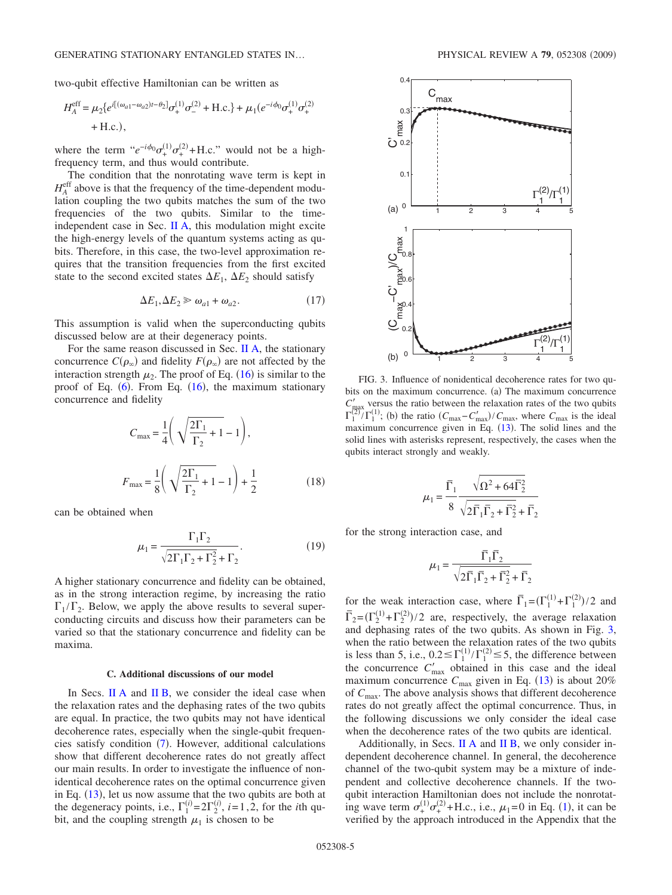two-qubit effective Hamiltonian can be written as

$$
H_{A}^{\text{eff}} = \mu_{2} \{ e^{i[(\omega_{a1} - \omega_{a2})t - \theta_{2}]} \sigma_{+}^{(1)} \sigma_{-}^{(2)} + \text{H.c.} \} + \mu_{1} (e^{-i\phi_{0}} \sigma_{+}^{(1)} \sigma_{+}^{(2)} + \text{H.c.}),
$$

where the term " $e^{-i\phi_0}\sigma_+^{(1)}\sigma_+^{(2)} + \text{H.c.}$ " would not be a highfrequency term, and thus would contribute.

The condition that the nonrotating wave term is kept in  $H_A^{\text{eff}}$  above is that the frequency of the time-dependent modulation coupling the two qubits matches the sum of the two frequencies of the two qubits. Similar to the timeindependent case in Sec. [II A,](#page-1-3) this modulation might excite the high-energy levels of the quantum systems acting as qubits. Therefore, in this case, the two-level approximation requires that the transition frequencies from the first excited state to the second excited states  $\Delta E_1$ ,  $\Delta E_2$  should satisfy

$$
\Delta E_1, \Delta E_2 \gg \omega_{a1} + \omega_{a2}.\tag{17}
$$

<span id="page-4-2"></span>This assumption is valid when the superconducting qubits discussed below are at their degeneracy points.

For the same reason discussed in Sec. [II A,](#page-1-3) the stationary concurrence  $C(\rho_{\infty})$  and fidelity  $F(\rho_{\infty})$  are not affected by the interaction strength  $\mu_2$ . The proof of Eq. ([16](#page-3-6)) is similar to the proof of Eq.  $(6)$  $(6)$  $(6)$ . From Eq.  $(16)$  $(16)$  $(16)$ , the maximum stationary concurrence and fidelity

$$
C_{\text{max}} = \frac{1}{4} \left( \sqrt{\frac{2\Gamma_1}{\Gamma_2} + 1} - 1 \right),
$$
  

$$
F_{\text{max}} = \frac{1}{8} \left( \sqrt{\frac{2\Gamma_1}{\Gamma_2} + 1} - 1 \right) + \frac{1}{2}
$$
 (18)

can be obtained when

$$
\mu_1 = \frac{\Gamma_1 \Gamma_2}{\sqrt{2\Gamma_1 \Gamma_2 + \Gamma_2^2} + \Gamma_2}.
$$
 (19)

<span id="page-4-1"></span>A higher stationary concurrence and fidelity can be obtained, as in the strong interaction regime, by increasing the ratio  $\Gamma_1/\Gamma_2$ . Below, we apply the above results to several superconducting circuits and discuss how their parameters can be varied so that the stationary concurrence and fidelity can be maxima.

#### **C. Additional discussions of our model**

In Secs. [II A](#page-1-3) and [II B,](#page-3-7) we consider the ideal case when the relaxation rates and the dephasing rates of the two qubits are equal. In practice, the two qubits may not have identical decoherence rates, especially when the single-qubit frequen-cies satisfy condition ([7](#page-2-3)). However, additional calculations show that different decoherence rates do not greatly affect our main results. In order to investigate the influence of nonidentical decoherence rates on the optimal concurrence given in Eq.  $(13)$  $(13)$  $(13)$ , let us now assume that the two qubits are both at the degeneracy points, i.e.,  $\Gamma_1^{(i)} = 2\Gamma_2^{(i)}$ , *i*=1,2, for the *i*th qubit, and the coupling strength  $\mu_1$  is chosen to be

<span id="page-4-0"></span>

FIG. 3. Influence of nonidentical decoherence rates for two qubits on the maximum concurrence. (a) The maximum concurrence  $C'_{\text{max}}$  versus the ratio between the relaxation rates of the two qubits  $\Gamma_1^{(2)}/\Gamma_1^{(1)}$ ; (b) the ratio  $(C_{\text{max}}-C'_{\text{max}})/C_{\text{max}}$ , where  $C_{\text{max}}$  is the ideal maximum concurrence given in Eq.  $(13)$  $(13)$  $(13)$ . The solid lines and the solid lines with asterisks represent, respectively, the cases when the qubits interact strongly and weakly.

$$
\mu_1 = \frac{\overline{\Gamma}_1}{8} \frac{\sqrt{\Omega^2 + 64\overline{\Gamma}_2^2}}{\sqrt{2\overline{\Gamma}_1 \overline{\Gamma}_2 + \overline{\Gamma}_2^2} + \overline{\Gamma}_2}
$$

for the strong interaction case, and

$$
\mu_1 = \frac{\overline{\Gamma}_1\overline{\Gamma}_2}{\sqrt{2\overline{\Gamma}_1\overline{\Gamma}_2 + \overline{\Gamma}_2^2} + \overline{\Gamma}_2}
$$

for the weak interaction case, where  $\overline{\Gamma}_1 = (\Gamma_1^{(1)} + \Gamma_1^{(2)})/2$  and  $\overline{\Gamma}_2 = (\Gamma_2^{(1)} + \Gamma_2^{(2)})/2$  are, respectively, the average relaxation and dephasing rates of the two qubits. As shown in Fig. [3,](#page-4-0) when the ratio between the relaxation rates of the two qubits is less than 5, i.e.,  $0.2 \leq \Gamma_1^{(1)} / \Gamma_1^{(2)} \leq 5$ , the difference between the concurrence  $C'_{\text{max}}$  obtained in this case and the ideal maximum concurrence  $C_{\text{max}}$  given in Eq. ([13](#page-3-2)) is about 20% of *C*max. The above analysis shows that different decoherence rates do not greatly affect the optimal concurrence. Thus, in the following discussions we only consider the ideal case when the decoherence rates of the two qubits are identical.

Additionally, in Secs.  $II A$  and  $II B$ , we only consider independent decoherence channel. In general, the decoherence channel of the two-qubit system may be a mixture of independent and collective decoherence channels. If the twoqubit interaction Hamiltonian does not include the nonrotating wave term  $\sigma_{+}^{(1)}\sigma_{+}^{(2)}$  $\sigma_{+}^{(1)}\sigma_{+}^{(2)}$  $\sigma_{+}^{(1)}\sigma_{+}^{(2)}$ +H.c., i.e.,  $\mu_1$ =0 in Eq. (1), it can be verified by the approach introduced in the Appendix that the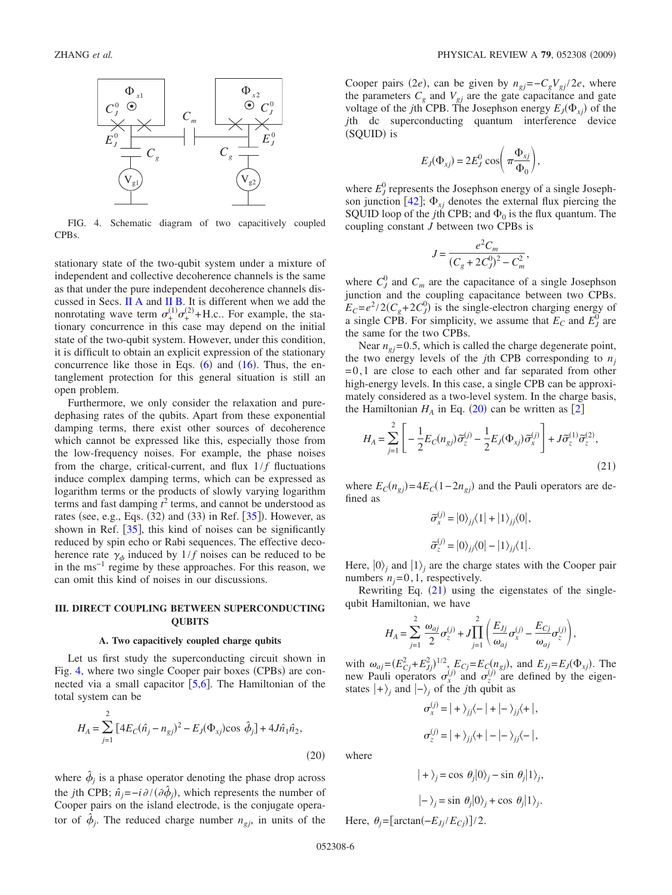<span id="page-5-1"></span>

FIG. 4. Schematic diagram of two capacitively coupled CPBs.

stationary state of the two-qubit system under a mixture of independent and collective decoherence channels is the same as that under the pure independent decoherence channels discussed in Secs. [II A](#page-1-3) and [II B.](#page-3-7) It is different when we add the nonrotating wave term  $\sigma^{(1)}_+ \sigma^{(2)}_+ + H.c.$  For example, the stationary concurrence in this case may depend on the initial state of the two-qubit system. However, under this condition, it is difficult to obtain an explicit expression of the stationary concurrence like those in Eqs.  $(6)$  $(6)$  $(6)$  and  $(16)$  $(16)$  $(16)$ . Thus, the entanglement protection for this general situation is still an open problem.

Furthermore, we only consider the relaxation and puredephasing rates of the qubits. Apart from these exponential damping terms, there exist other sources of decoherence which cannot be expressed like this, especially those from the low-frequency noises. For example, the phase noises from the charge, critical-current, and flux  $1/f$  fluctuations induce complex damping terms, which can be expressed as logarithm terms or the products of slowly varying logarithm terms and fast damping  $t^2$  terms, and cannot be understood as rates (see, e.g., Eqs.  $(32)$  and  $(33)$  in Ref.  $[35]$  $[35]$  $[35]$ ). However, as shown in Ref.  $\left[35\right]$  $\left[35\right]$  $\left[35\right]$ , this kind of noises can be significantly reduced by spin echo or Rabi sequences. The effective decoherence rate  $\gamma_{\phi}$  induced by  $1/f$  noises can be reduced to be in the ms−1 regime by these approaches. For this reason, we can omit this kind of noises in our discussions.

### <span id="page-5-0"></span>**III. DIRECT COUPLING BETWEEN SUPERCONDUCTING QUBITS**

#### **A. Two capacitively coupled charge qubits**

Let us first study the superconducting circuit shown in Fig. [4,](#page-5-1) where two single Cooper pair boxes (CPBs) are connected via a small capacitor  $[5,6]$  $[5,6]$  $[5,6]$  $[5,6]$ . The Hamiltonian of the total system can be

<span id="page-5-2"></span>
$$
H_A = \sum_{j=1}^{2} \left[ 4E_C(\hat{n}_j - n_{gj})^2 - E_J(\Phi_{xj}) \cos \hat{\phi}_j \right] + 4J\hat{n}_1 \hat{n}_2,
$$
\n(20)

where  $\phi_i$  is a phase operator denoting the phase drop across the *j*th CPB;  $\hat{n}_j = -i \partial / (\partial \hat{\phi}_j)$ , which represents the number of Cooper pairs on the island electrode, is the conjugate operator of  $\phi_j$ . The reduced charge number  $n_{gj}$ , in units of the

Cooper pairs (2*e*), can be given by  $n_{gj} = -C_g V_{gj} / 2e$ , where the parameters  $C_g$  and  $V_{gj}$  are the gate capacitance and gate voltage of the *j*th CPB. The Josephson energy  $E_j(\Phi_{xj})$  of the *j*th dc superconducting quantum interference device (SQUID) is

$$
E_J(\Phi_{xj}) = 2E_J^0 \cos\left(\pi \frac{\Phi_{xj}}{\Phi_0}\right),\,
$$

where  $E_J^0$  represents the Josephson energy of a single Josephson junction  $[42]$  $[42]$  $[42]$ ;  $\Phi_{x_i}$  denotes the external flux piercing the SQUID loop of the *j*th CPB; and  $\Phi_0$  is the flux quantum. The coupling constant *J* between two CPBs is

$$
J = \frac{e^2 C_m}{(C_g + 2C_J^0)^2 - C_m^2},
$$

where  $C_J^0$  and  $C_m$  are the capacitance of a single Josephson junction and the coupling capacitance between two CPBs.  $E_C = e^2 / 2(C_g + 2C_J^0)$  is the single-electron charging energy of a single CPB. For simplicity, we assume that  $E_C$  and  $E_J^0$  are the same for the two CPBs.

Near  $n_{qi}$ = 0.5, which is called the charge degenerate point, the two energy levels of the *j*th CPB corresponding to  $n_i$  $= 0, 1$  are close to each other and far separated from other high-energy levels. In this case, a single CPB can be approximately considered as a two-level system. In the charge basis, the Hamiltonian  $H_A$  in Eq. ([20](#page-5-2)) can be written as [[2](#page-13-20)]

<span id="page-5-3"></span>
$$
H_A = \sum_{j=1}^{2} \left[ -\frac{1}{2} E_C(n_{gj}) \tilde{\sigma}_z^{(j)} - \frac{1}{2} E_J(\Phi_{xj}) \tilde{\sigma}_x^{(j)} \right] + J \tilde{\sigma}_z^{(1)} \tilde{\sigma}_z^{(2)},
$$
\n(21)

where  $E_C(n_{gj}) = 4E_C(1 - 2n_{gj})$  and the Pauli operators are defined as

$$
\begin{aligned} \widetilde{\sigma}_x^{(j)}&=|0\rangle_{jj}\langle 1|+|1\rangle_{jj}\langle 0|,\\ \widetilde{\sigma}_z^{(j)}&=|0\rangle_{jj}\langle 0|-|1\rangle_{jj}\langle 1|.\end{aligned}
$$

Here,  $|0\rangle_j$  and  $|1\rangle_j$  are the charge states with the Cooper pair numbers  $n_j=0,1$ , respectively.

Rewriting Eq.  $(21)$  $(21)$  $(21)$  using the eigenstates of the singlequbit Hamiltonian, we have

$$
H_A = \sum_{j=1}^2 \frac{\omega_{aj}}{2} \sigma_z^{(j)} + J \prod_{j=1}^2 \left( \frac{E_{Jj}}{\omega_{aj}} \sigma_x^{(j)} - \frac{E_{Cj}}{\omega_{aj}} \sigma_z^{(j)} \right),
$$

with  $\omega_{aj} = (E_{Cj}^2 + E_{Jj}^2)^{1/2}$ ,  $E_{Cj} = E_C(n_{sj})$ , and  $E_{Jj} = E_J(\Phi_{xj})$ . The new Pauli operators  $\sigma_x^{(j)}$  and  $\sigma_z^{(j)}$  are defined by the eigenstates  $|+\rangle_j$  and  $|-\rangle_j$  of the *j*th qubit as

$$
\sigma_x^{(j)} = | + \rangle_{jj} \langle - | + | - \rangle_{jj} \langle + |,
$$
  

$$
\sigma_z^{(j)} = | + \rangle_{jj} \langle + | - | - \rangle_{jj} \langle - |,
$$

where

$$
| + \rangle_j = \cos \theta_j |0\rangle_j - \sin \theta_j |1\rangle_j,
$$
  

$$
| - \rangle_j = \sin \theta_j |0\rangle_j + \cos \theta_j |1\rangle_j.
$$

Here,  $\theta_j = [\arctan(-E_{J_j}/E_{C_j})]/2$ .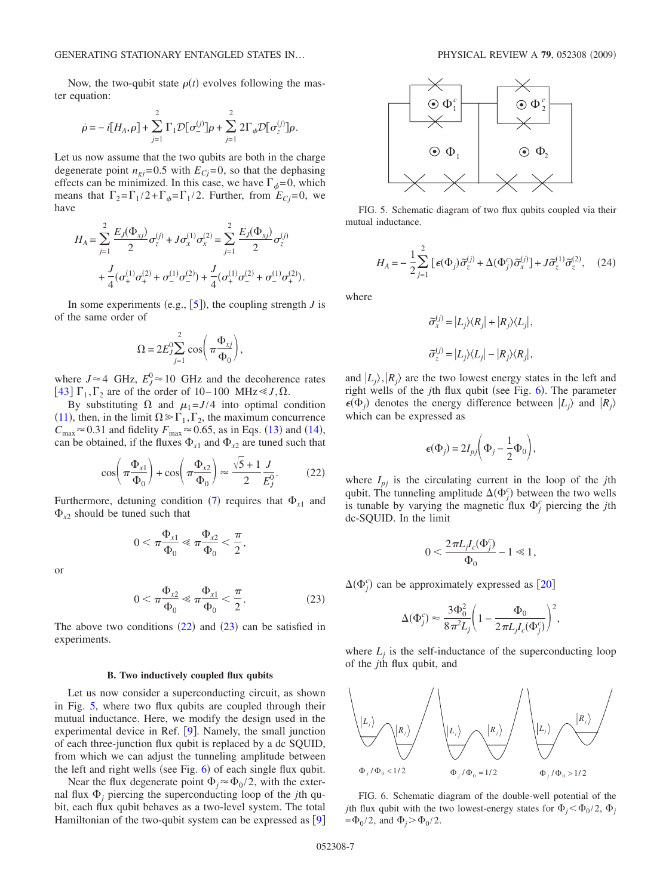Now, the two-qubit state  $\rho(t)$  evolves following the master equation:

$$
\dot{\rho} = -i[H_A,\rho] + \sum_{j=1}^2 \Gamma_1 \mathcal{D}[\sigma_-^{(j)}]\rho + \sum_{j=1}^2 2\Gamma_{\phi} \mathcal{D}[\sigma_z^{(j)}]\rho.
$$

Let us now assume that the two qubits are both in the charge degenerate point  $n_{gi}$ =0.5 with  $E_{Ci}$ =0, so that the dephasing effects can be minimized. In this case, we have  $\Gamma_{\phi} = 0$ , which means that  $\Gamma_2 = \Gamma_1/2 + \Gamma_{\phi} = \Gamma_1/2$ . Further, from  $E_{Cj} = 0$ , we have

$$
H_A = \sum_{j=1}^{2} \frac{E_J(\Phi_{xj})}{2} \sigma_z^{(j)} + J \sigma_x^{(1)} \sigma_x^{(2)} = \sum_{j=1}^{2} \frac{E_J(\Phi_{xj})}{2} \sigma_z^{(j)}
$$
  
+ 
$$
\frac{J}{4} (\sigma_+^{(1)} \sigma_+^{(2)} + \sigma_-^{(1)} \sigma_-^{(2)}) + \frac{J}{4} (\sigma_+^{(1)} \sigma_-^{(2)} + \sigma_-^{(1)} \sigma_+^{(2)}).
$$

In some experiments (e.g.,  $[5]$  $[5]$  $[5]$ ), the coupling strength *J* is of the same order of

$$
\Omega = 2E_J^0 \sum_{j=1}^2 \cos\left(\pi \frac{\Phi_{xj}}{\Phi_0}\right),
$$

where  $J \approx 4$  GHz,  $E_J^0 \approx 10$  GHz and the decoherence rates [[43](#page-14-12)]  $\Gamma_1, \Gamma_2$  are of the order of 10–100 MHz  $\leq J, \Omega$ .

By substituting  $\Omega$  and  $\mu_1 = J/4$  into optimal condition ([11](#page-3-4)), then, in the limit  $\Omega \gg \Gamma_1, \Gamma_2$ , the maximum concurrence  $C_{\text{max}} \approx 0.31$  and fidelity  $F_{\text{max}} \approx 0.65$ , as in Eqs. ([13](#page-3-2)) and ([14](#page-3-3)), can be obtained, if the fluxes  $\Phi_{x1}$  and  $\Phi_{x2}$  are tuned such that

$$
\cos\left(\pi \frac{\Phi_{x1}}{\Phi_0}\right) + \cos\left(\pi \frac{\Phi_{x2}}{\Phi_0}\right) \approx \frac{\sqrt{5} + 1}{2} \frac{J}{E_J^0}.
$$
 (22)

<span id="page-6-0"></span>Furthermore, detuning condition ([7](#page-2-3)) requires that  $\Phi_{x1}$  and  $\Phi_{x2}$  should be tuned such that

$$
0 < \pi \frac{\Phi_{x1}}{\Phi_0} \ll \pi \frac{\Phi_{x2}}{\Phi_0} < \frac{\pi}{2},
$$

or

$$
0 < \pi \frac{\Phi_{x2}}{\Phi_0} \ll \pi \frac{\Phi_{x1}}{\Phi_0} < \frac{\pi}{2}.\tag{23}
$$

<span id="page-6-1"></span>The above two conditions  $(22)$  $(22)$  $(22)$  and  $(23)$  $(23)$  $(23)$  can be satisfied in experiments.

### **B. Two inductively coupled flux qubits**

<span id="page-6-5"></span>Let us now consider a superconducting circuit, as shown in Fig. [5,](#page-6-2) where two flux qubits are coupled through their mutual inductance. Here, we modify the design used in the experimental device in Ref.  $[9]$  $[9]$  $[9]$ . Namely, the small junction of each three-junction flux qubit is replaced by a dc SQUID, from which we can adjust the tunneling amplitude between the left and right wells (see Fig.  $6$ ) of each single flux qubit.

Near the flux degenerate point  $\Phi_i \approx \Phi_0/2$ , with the external flux  $\Phi_i$  piercing the superconducting loop of the *j*th qubit, each flux qubit behaves as a two-level system. The total Hamiltonian of the two-qubit system can be expressed as  $[9]$  $[9]$  $[9]$ 

<span id="page-6-2"></span>

FIG. 5. Schematic diagram of two flux qubits coupled via their mutual inductance.

$$
H_A = -\frac{1}{2} \sum_{j=1}^{2} \left[ \epsilon(\Phi_j) \tilde{\sigma}_z^{(j)} + \Delta(\Phi_j^c) \tilde{\sigma}_x^{(j)} \right] + J \tilde{\sigma}_z^{(1)} \tilde{\sigma}_z^{(2)}, \quad (24)
$$

<span id="page-6-4"></span>where

$$
\widetilde{\sigma}_{x}^{(j)} = |L_j\rangle\langle R_j| + |R_j\rangle\langle L_j|,
$$
  

$$
\widetilde{\sigma}_{z}^{(j)} = |L_j\rangle\langle L_j| - |R_j\rangle\langle R_j|,
$$

and  $\ket{L_j}, \ket{R_j}$  are the two lowest energy states in the left and right wells of the *j*th flux qubit (see Fig. [6](#page-6-3)). The parameter  $\epsilon(\Phi_j)$  denotes the energy difference between  $|L_j\rangle$  and  $|R_j\rangle$ which can be expressed as

$$
\epsilon(\Phi_j) = 2I_{pj}\left(\Phi_j - \frac{1}{2}\Phi_0\right),\,
$$

where  $I_{pj}$  is the circulating current in the loop of the *j*th qubit. The tunneling amplitude  $\Delta(\Phi_j^c)$  between the two wells is tunable by varying the magnetic flux  $\Phi_j^c$  piercing the *j*th dc-SQUID. In the limit

$$
0<\frac{2\pi L_jI_c(\Phi_j^c)}{\Phi_0}-1\ll 1\,,
$$

 $\Delta(\Phi_j^c)$  can be approximately expressed as [[20](#page-13-21)]

$$
\Delta(\Phi_j^c) \approx \frac{3\Phi_0^2}{8\pi^2 L_j} \left(1 - \frac{\Phi_0}{2\pi L_j I_c(\Phi_j^c)}\right)^2,
$$

where  $L_i$  is the self-inductance of the superconducting loop of the *j*th flux qubit, and

<span id="page-6-3"></span>

FIG. 6. Schematic diagram of the double-well potential of the *j*th flux qubit with the two lowest-energy states for  $\Phi_i < \Phi_0/2$ ,  $\Phi_i$  $=\Phi_0 / 2$ , and  $\Phi_j > \Phi_0 / 2$ .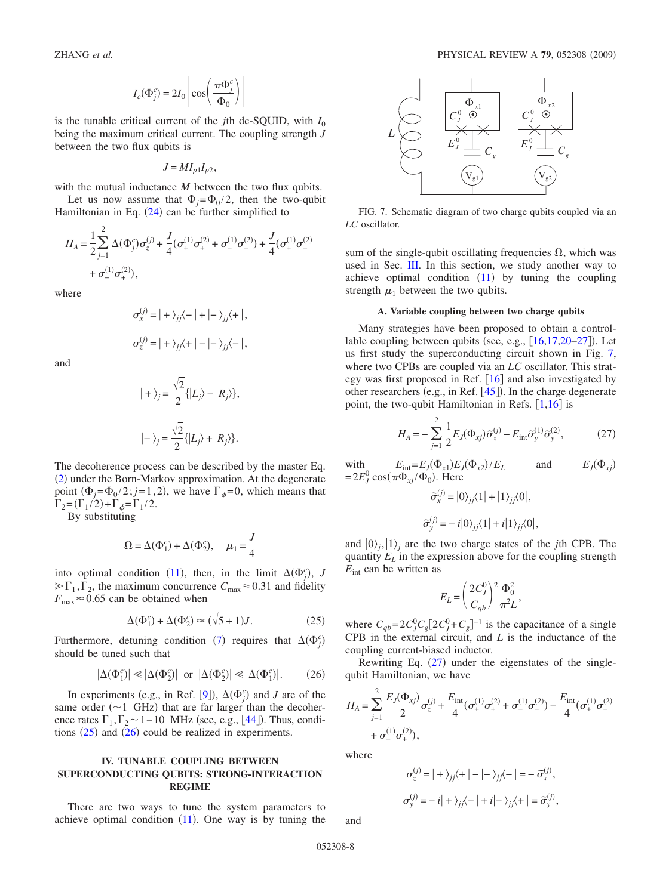$$
I_c(\Phi_j^c) = 2I_0 \left| \cos \left( \frac{\pi \Phi_j^c}{\Phi_0} \right) \right|
$$

is the tunable critical current of the *j*th dc-SQUID, with  $I_0$ being the maximum critical current. The coupling strength *J* between the two flux qubits is

$$
J = MI_{p1}I_{p2},
$$

with the mutual inductance *M* between the two flux qubits.

Let us now assume that  $\Phi_i = \Phi_0 / 2$ , then the two-qubit Hamiltonian in Eq.  $(24)$  $(24)$  $(24)$  can be further simplified to

$$
H_A = \frac{1}{2} \sum_{j=1}^{2} \Delta(\Phi_j^c) \sigma_z^{(j)} + \frac{J}{4} (\sigma_+^{(1)} \sigma_+^{(2)} + \sigma_-^{(1)} \sigma_-^{(2)}) + \frac{J}{4} (\sigma_+^{(1)} \sigma_-^{(2)}) + \sigma_-^{(1)} \sigma_+^{(2)}),
$$

where

$$
\sigma_x^{(j)} = | + \rangle_{jj} \langle - | + | - \rangle_{jj} \langle + |,
$$
  

$$
\sigma_z^{(j)} = | + \rangle_{jj} \langle + | - | - \rangle_{jj} \langle - |,
$$

and

$$
|+\rangle_j = \frac{\sqrt{2}}{2} \{ |L_j\rangle - |R_j\rangle \},
$$
  

$$
|-\rangle_j = \frac{\sqrt{2}}{2} \{ |L_j\rangle + |R_j\rangle \}.
$$

The decoherence process can be described by the master Eq. ([2](#page-1-1)) under the Born-Markov approximation. At the degenerate point  $(\Phi_j = \Phi_0/2; j = 1, 2)$ , we have  $\Gamma_{\phi} = 0$ , which means that  $\Gamma_2 = (\Gamma_1/2) + \Gamma_{\phi} = \Gamma_1/2.$ 

By substituting

$$
\Omega = \Delta(\Phi_1^c) + \Delta(\Phi_2^c), \quad \mu_1 = \frac{J}{4}
$$

into optimal condition ([11](#page-3-4)), then, in the limit  $\Delta(\Phi_j^c)$ , *J*  $\triangleright \Gamma_1, \Gamma_2$ , the maximum concurrence  $C_{\text{max}} \approx 0.31$  and fidelity  $F_{\text{max}} \approx 0.65$  can be obtained when

$$
\Delta(\Phi_1^c) + \Delta(\Phi_2^c) \approx (\sqrt{5} + 1)J. \tag{25}
$$

<span id="page-7-1"></span>Furthermore, detuning condition ([7](#page-2-3)) requires that  $\Delta(\Phi_j^c)$ should be tuned such that

$$
|\Delta(\Phi_1^c)| \ll |\Delta(\Phi_2^c)| \text{ or } |\Delta(\Phi_2^c)| \ll |\Delta(\Phi_1^c)|. \tag{26}
$$

<span id="page-7-2"></span>In experiments (e.g., in Ref. [[9](#page-13-7)]),  $\Delta(\Phi_f^c)$  and *J* are of the same order  $(\sim 1$  GHz) that are far larger than the decoherence rates  $\Gamma_1, \Gamma_2 \sim 1 - 10$  MHz (see, e.g., [[44](#page-14-13)]). Thus, conditions  $(25)$  $(25)$  $(25)$  and  $(26)$  $(26)$  $(26)$  could be realized in experiments.

## <span id="page-7-0"></span>**IV. TUNABLE COUPLING BETWEEN SUPERCONDUCTING QUBITS: STRONG-INTERACTION REGIME**

There are two ways to tune the system parameters to achieve optimal condition  $(11)$  $(11)$  $(11)$ . One way is by tuning the

<span id="page-7-3"></span>

FIG. 7. Schematic diagram of two charge qubits coupled via an *LC* oscillator.

sum of the single-qubit oscillating frequencies  $\Omega$ , which was used in Sec. [III.](#page-5-0) In this section, we study another way to achieve optimal condition  $(11)$  $(11)$  $(11)$  by tuning the coupling strength  $\mu_1$  between the two qubits.

#### **A. Variable coupling between two charge qubits**

Many strategies have been proposed to obtain a controllable coupling between qubits (see, e.g.,  $[16, 17, 20-27]$  $[16, 17, 20-27]$  $[16, 17, 20-27]$  $[16, 17, 20-27]$  $[16, 17, 20-27]$ ). Let us first study the superconducting circuit shown in Fig. [7,](#page-7-3) where two CPBs are coupled via an *LC* oscillator. This strategy was first proposed in Ref.  $[16]$  $[16]$  $[16]$  and also investigated by other researchers (e.g., in Ref.  $[45]$  $[45]$  $[45]$ ). In the charge degenerate point, the two-qubit Hamiltonian in Refs.  $[1,16]$  $[1,16]$  $[1,16]$  $[1,16]$  is

$$
H_{A} = -\sum_{j=1}^{2} \frac{1}{2} E_{J}(\Phi_{xj}) \tilde{\sigma}_{x}^{(j)} - E_{int} \tilde{\sigma}_{y}^{(1)} \tilde{\sigma}_{y}^{(2)},
$$
 (27)

<span id="page-7-4"></span>with  $E_{\text{int}} = E_J(\Phi_{x1})E_J(\Phi_{x2})$  $/E_L$  and  $E_J(\Phi_{xj})$  $= 2E_J^0 \cos(\pi \Phi_{xj} / \Phi_0)$ . Here

$$
\tilde{\sigma}_x^{(j)} = |0\rangle_{jj}\langle 1| + |1\rangle_{jj}\langle 0|,
$$
  

$$
\tilde{\sigma}_y^{(j)} = -i|0\rangle_{jj}\langle 1| + i|1\rangle_{jj}\langle 0|,
$$

and  $|0\rangle_j$ ,  $|1\rangle_j$  are the two charge states of the *j*th CPB. The quantity  $E_L$  in the expression above for the coupling strength *E*int can be written as

$$
E_L = \left(\frac{2C_J^0}{C_{qb}}\right)^2 \frac{\Phi_0^2}{\pi^2 L},
$$

where  $C_{qb} = 2C_J^0C_g[2C_J^0 + C_g]^{-1}$  is the capacitance of a single CPB in the external circuit, and *L* is the inductance of the coupling current-biased inductor.

Rewriting Eq.  $(27)$  $(27)$  $(27)$  under the eigenstates of the singlequbit Hamiltonian, we have

$$
H_A = \sum_{j=1}^{2} \frac{E_j(\Phi_{xj})}{2} \sigma_z^{(j)} + \frac{E_{\text{int}}}{4} (\sigma_+^{(1)} \sigma_+^{(2)} + \sigma_-^{(1)} \sigma_-^{(2)}) - \frac{E_{\text{int}}}{4} (\sigma_+^{(1)} \sigma_-^{(2)}) + \sigma_-^{(1)} \sigma_+^{(2)}),
$$

where

$$
\sigma_z^{(j)} = |+\rangle_{jj}\langle +| - |-\rangle_{jj}\langle -| = -\tilde{\sigma}_x^{(j)},
$$
  

$$
\sigma_y^{(j)} = -|i| + \rangle_{jj}\langle -| + |i| - \rangle_{jj}\langle +| = \tilde{\sigma}_y^{(j)},
$$

and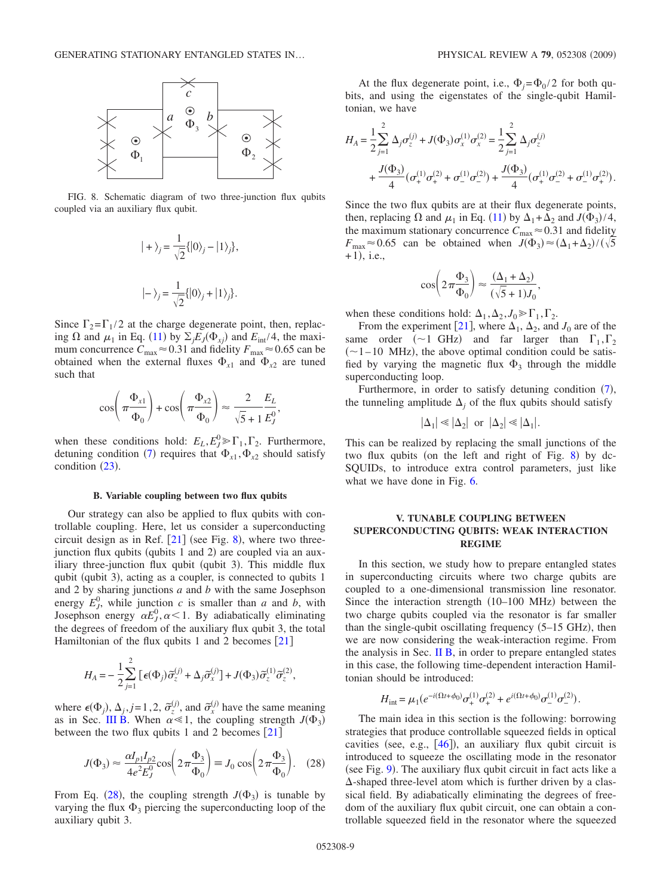<span id="page-8-1"></span>

FIG. 8. Schematic diagram of two three-junction flux qubits coupled via an auxiliary flux qubit.

$$
|+\rangle_j = \frac{1}{\sqrt{2}}\{|0\rangle_j - |1\rangle_j\},
$$
  

$$
|-\rangle_j = \frac{1}{\sqrt{2}}\{|0\rangle_j + |1\rangle_j\}.
$$

Since  $\Gamma_2 = \Gamma_1/2$  at the charge degenerate point, then, replacing  $\Omega$  and  $\mu_1$  in Eq. ([11](#page-3-4)) by  $\Sigma_j E_J(\Phi_{xj})$  and  $E_{int}/4$ , the maximum concurrence  $C_{\text{max}} \approx 0.31$  and fidelity  $F_{\text{max}} \approx 0.65$  can be obtained when the external fluxes  $\Phi_{x1}$  and  $\Phi_{x2}$  are tuned such that

$$
\cos\left(\pi \frac{\Phi_{x1}}{\Phi_0}\right) + \cos\left(\pi \frac{\Phi_{x2}}{\Phi_0}\right) \approx \frac{2}{\sqrt{5} + 1} \frac{E_L}{E_J^0},
$$

when these conditions hold:  $E_L$ ,  $E_J^0 \gg \Gamma_1$ ,  $\Gamma_2$ . Furthermore, detuning condition ([7](#page-2-3)) requires that  $\Phi_{x1}$ ,  $\Phi_{x2}$  should satisfy condition  $(23)$  $(23)$  $(23)$ .

### **B. Variable coupling between two flux qubits**

Our strategy can also be applied to flux qubits with controllable coupling. Here, let us consider a superconducting circuit design as in Ref.  $[21]$  $[21]$  $[21]$  (see Fig. [8](#page-8-1)), where two threejunction flux qubits (qubits 1 and 2) are coupled via an auxiliary three-junction flux qubit (qubit 3). This middle flux qubit (qubit 3), acting as a coupler, is connected to qubits 1 and 2 by sharing junctions *a* and *b* with the same Josephson energy  $E_J^0$ , while junction *c* is smaller than *a* and *b*, with Josephson energy  $\alpha E_J^0$ ,  $\alpha$  < 1. By adiabatically eliminating the degrees of freedom of the auxiliary flux qubit 3, the total Hamiltonian of the flux qubits 1 and 2 becomes  $[21]$  $[21]$  $[21]$ 

$$
H_A = -\frac{1}{2} \sum_{j=1}^{2} \left[ \epsilon(\Phi_j) \tilde{\sigma}_z^{(j)} + \Delta_j \tilde{\sigma}_x^{(j)} \right] + J(\Phi_3) \tilde{\sigma}_z^{(1)} \tilde{\sigma}_z^{(2)},
$$

where  $\epsilon(\Phi_j)$ ,  $\Delta_j$ ,  $j = 1, 2, \tilde{\sigma}_z^{(j)}$ , and  $\tilde{\sigma}_x^{(j)}$  have the same meaning as in Sec. [III B.](#page-6-5) When  $\alpha \ll 1$ , the coupling strength  $J(\Phi_3)$ between the two flux qubits 1 and 2 becomes  $[21]$  $[21]$  $[21]$ 

$$
J(\Phi_3) \approx \frac{\alpha I_{p1} I_{p2}}{4e^2 E_J^0} \cos\left(2\pi \frac{\Phi_3}{\Phi_0}\right) \equiv J_0 \cos\left(2\pi \frac{\Phi_3}{\Phi_0}\right). \quad (28)
$$

<span id="page-8-2"></span>From Eq. ([28](#page-8-2)), the coupling strength  $J(\Phi_3)$  is tunable by varying the flux  $\Phi_3$  piercing the superconducting loop of the auxiliary qubit 3.

At the flux degenerate point, i.e.,  $\Phi_i = \Phi_0 / 2$  for both qubits, and using the eigenstates of the single-qubit Hamiltonian, we have

$$
H_A = \frac{1}{2} \sum_{j=1}^{2} \Delta_j \sigma_z^{(j)} + J(\Phi_3) \sigma_x^{(1)} \sigma_x^{(2)} = \frac{1}{2} \sum_{j=1}^{2} \Delta_j \sigma_z^{(j)}
$$
  
+ 
$$
\frac{J(\Phi_3)}{4} (\sigma_+^{(1)} \sigma_+^{(2)} + \sigma_-^{(1)} \sigma_-^{(2)}) + \frac{J(\Phi_3)}{4} (\sigma_+^{(1)} \sigma_-^{(2)} + \sigma_-^{(1)} \sigma_+^{(2)}).
$$

Since the two flux qubits are at their flux degenerate points, then, replacing  $\Omega$  and  $\mu_1$  in Eq. ([11](#page-3-4)) by  $\Delta_1 + \Delta_2$  and  $J(\Phi_3)/4$ , the maximum stationary concurrence  $C_{\text{max}} \approx 0.31$  and fidelity  $F_{\text{max}} \approx 0.65$  can be obtained when  $J(\Phi_3) \approx (\Delta_1 + \Delta_2)/(\sqrt{5})$  $+1),$  i.e.,

$$
\cos\left(2\pi\frac{\Phi_3}{\Phi_0}\right) \approx \frac{(\Delta_1 + \Delta_2)}{(\sqrt{5} + 1)J_0},
$$

when these conditions hold:  $\Delta_1, \Delta_2, J_0 \gg \Gamma_1, \Gamma_2$ .

From the experiment [[21](#page-13-11)], where  $\Delta_1$ ,  $\Delta_2$ , and  $J_0$  are of the same order ( $\sim$ 1 GHz) and far larger than  $\Gamma_1, \Gamma_2$  $(\sim 1 - 10$  MHz), the above optimal condition could be satisfied by varying the magnetic flux  $\Phi_3$  through the middle superconducting loop.

Furthermore, in order to satisfy detuning condition  $(7)$  $(7)$  $(7)$ , the tunneling amplitude  $\Delta_i$  of the flux qubits should satisfy

$$
|\Delta_1| \ll |\Delta_2| \text{ or } |\Delta_2| \ll |\Delta_1|.
$$

This can be realized by replacing the small junctions of the two flux qubits (on the left and right of Fig. [8](#page-8-1)) by dc-SQUIDs, to introduce extra control parameters, just like what we have done in Fig. [6.](#page-6-3)

## <span id="page-8-0"></span>**V. TUNABLE COUPLING BETWEEN SUPERCONDUCTING QUBITS: WEAK INTERACTION REGIME**

In this section, we study how to prepare entangled states in superconducting circuits where two charge qubits are coupled to a one-dimensional transmission line resonator. Since the interaction strength  $(10-100$  MHz) between the two charge qubits coupled via the resonator is far smaller than the single-qubit oscillating frequency  $(5-15 \text{ GHz})$ , then we are now considering the weak-interaction regime. From the analysis in Sec. II  $\overline{B}$ , in order to prepare entangled states in this case, the following time-dependent interaction Hamiltonian should be introduced:

$$
H_{\rm int} = \mu_1 (e^{-i(\Omega t + \phi_0)} \sigma_+^{(1)} \sigma_+^{(2)} + e^{i(\Omega t + \phi_0)} \sigma_-^{(1)} \sigma_-^{(2)}).
$$

The main idea in this section is the following: borrowing strategies that produce controllable squeezed fields in optical cavities (see, e.g.,  $[46]$  $[46]$  $[46]$ ), an auxiliary flux qubit circuit is introduced to squeeze the oscillating mode in the resonator (see Fig. [9](#page-9-0)). The auxiliary flux qubit circuit in fact acts like a  $\Delta$ -shaped three-level atom which is further driven by a classical field. By adiabatically eliminating the degrees of freedom of the auxiliary flux qubit circuit, one can obtain a controllable squeezed field in the resonator where the squeezed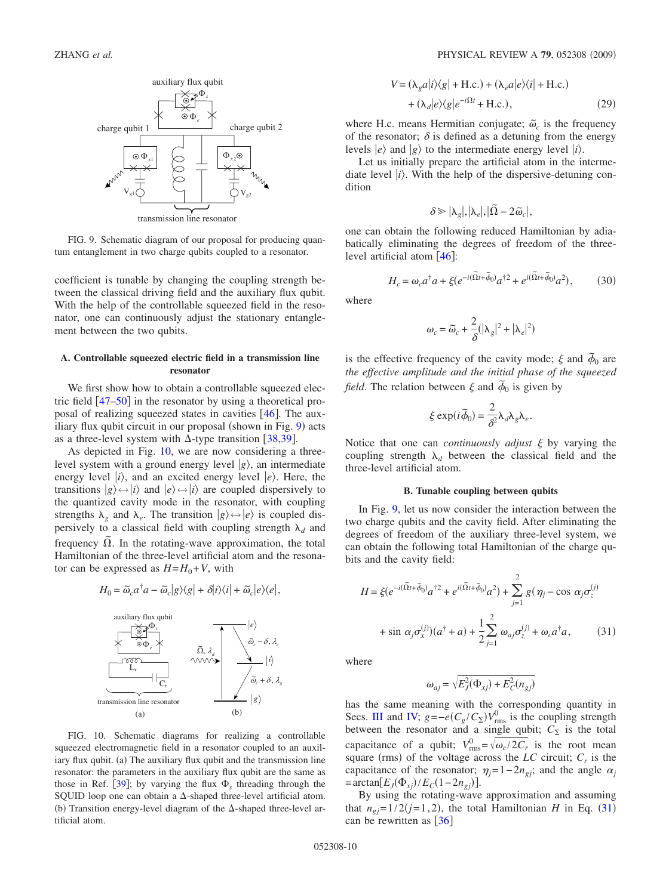<span id="page-9-0"></span>

FIG. 9. Schematic diagram of our proposal for producing quantum entanglement in two charge qubits coupled to a resonator.

coefficient is tunable by changing the coupling strength between the classical driving field and the auxiliary flux qubit. With the help of the controllable squeezed field in the resonator, one can continuously adjust the stationary entanglement between the two qubits.

### **A. Controllable squeezed electric field in a transmission line resonator**

<span id="page-9-3"></span>We first show how to obtain a controllable squeezed electric field  $\left[47 - 50\right]$  $\left[47 - 50\right]$  $\left[47 - 50\right]$  in the resonator by using a theoretical proposal of realizing squeezed states in cavities  $[46]$  $[46]$  $[46]$ . The aux-iliary flux qubit circuit in our proposal (shown in Fig. [9](#page-9-0)) acts as a three-level system with  $\Delta$ -type transition [[38](#page-14-7)[,39](#page-14-8)].

As depicted in Fig. [10,](#page-9-1) we are now considering a threelevel system with a ground energy level  $|g\rangle$ , an intermediate energy level  $|i\rangle$ , and an excited energy level  $|e\rangle$ . Here, the transitions  $|g\rangle \leftrightarrow |i\rangle$  and  $|e\rangle \leftrightarrow |i\rangle$  are coupled dispersively to the quantized cavity mode in the resonator, with coupling strengths  $\lambda_g$  and  $\lambda_e$ . The transition  $|g\rangle \leftrightarrow |e\rangle$  is coupled dispersively to a classical field with coupling strength  $\lambda_d$  and frequency  $\Omega$ . In the rotating-wave approximation, the total Hamiltonian of the three-level artificial atom and the resonator can be expressed as  $H = H_0 + V$ , with

$$
H_0 = \tilde{\omega}_c a^\dagger a - \tilde{\omega}_c |g\rangle\langle g| + \delta |i\rangle\langle i| + \tilde{\omega}_c |e\rangle\langle e|,
$$

<span id="page-9-1"></span>

FIG. 10. Schematic diagrams for realizing a controllable squeezed electromagnetic field in a resonator coupled to an auxiliary flux qubit. (a) The auxiliary flux qubit and the transmission line resonator: the parameters in the auxiliary flux qubit are the same as those in Ref.  $[39]$  $[39]$  $[39]$ ; by varying the flux  $\Phi_s$  threading through the SQUID loop one can obtain a  $\Delta$ -shaped three-level artificial atom. (b) Transition energy-level diagram of the  $\Delta$ -shaped three-level artificial atom.

$$
V = (\lambda_g a |i\rangle\langle g| + \text{H.c.}) + (\lambda_e a |e\rangle\langle i| + \text{H.c.})
$$
  
+ (\lambda\_d |e\rangle\langle g|e^{-i\Omega t} + \text{H.c.}), (29)

where H.c. means Hermitian conjugate;  $\tilde{\omega}_c$  is the frequency of the resonator;  $\delta$  is defined as a detuning from the energy levels  $|e\rangle$  and  $|g\rangle$  to the intermediate energy level  $|i\rangle$ .

Let us initially prepare the artificial atom in the intermediate level  $|i\rangle$ . With the help of the dispersive-detuning condition

$$
\delta \!\geqslant\! |\lambda_g|, |\lambda_e|, |\widetilde{\Omega} - 2 \widetilde{\omega}_c|,
$$

one can obtain the following reduced Hamiltonian by adiabatically eliminating the degrees of freedom of the threelevel artificial atom  $[46]$  $[46]$  $[46]$ :

$$
H_c = \omega_c a^\dagger a + \xi (e^{-i(\tilde{\Omega}t + \tilde{\phi}_0)} a^{\dagger 2} + e^{i(\tilde{\Omega}t + \tilde{\phi}_0)} a^2),\tag{30}
$$

where

$$
\omega_c = \widetilde{\omega}_c + \frac{2}{\delta} (|\lambda_g|^2 + |\lambda_e|^2)
$$

is the effective frequency of the cavity mode;  $\xi$  and  $\tilde{\phi}_0$  are *the effective amplitude and the initial phase of the squeezed field*. The relation between  $\xi$  and  $\overline{\phi}_0$  is given by

$$
\xi \exp(i\widetilde{\phi}_0) = \frac{2}{\delta^2} \lambda_d \lambda_g \lambda_e.
$$

Notice that one can *continuously adjust*  $\xi$  by varying the coupling strength  $\lambda_d$  between the classical field and the three-level artificial atom.

## **B. Tunable coupling between qubits**

In Fig. [9,](#page-9-0) let us now consider the interaction between the two charge qubits and the cavity field. After eliminating the degrees of freedom of the auxiliary three-level system, we can obtain the following total Hamiltonian of the charge qubits and the cavity field:

<span id="page-9-2"></span>
$$
H = \xi(e^{-i(\tilde{\Omega}t + \tilde{\phi}_0)}a^{\dagger 2} + e^{i(\tilde{\Omega}t + \tilde{\phi}_0)}a^2) + \sum_{j=1}^2 g(\eta_j - \cos \alpha_j \sigma_z^{(j)})
$$

$$
+ \sin \alpha_j \sigma_x^{(j)}(a^{\dagger} + a) + \frac{1}{2} \sum_{j=1}^2 \omega_{aj} \sigma_z^{(j)} + \omega_c a^{\dagger} a, \qquad (31)
$$

where

$$
\omega_{aj} = \sqrt{E_J^2(\Phi_{xj}) + E_C^2(n_{gj})}
$$

has the same meaning with the corresponding quantity in Secs. [III](#page-5-0) and [IV;](#page-7-0)  $g = -e(C_g/C_\Sigma)V_{\text{rms}}^0$  is the coupling strength between the resonator and a single qubit;  $C_{\Sigma}$  is the total capacitance of a qubit;  $V_{\text{rms}}^0 = \sqrt{\omega_c/2C_r}$  is the root mean square (rms) of the voltage across the  $LC$  circuit;  $C_r$  is the capacitance of the resonator;  $\eta_i = 1 - 2n_{gi}$ ; and the angle  $\alpha_i$  $=$ arctan $[E_J(\Phi_{xj})/E_C(1-2n_{gj})].$ 

By using the rotating-wave approximation and assuming that  $n_{gj} = 1/2(j=1,2)$ , the total Hamiltonian *H* in Eq. ([31](#page-9-2)) can be rewritten as  $\lceil 36 \rceil$  $\lceil 36 \rceil$  $\lceil 36 \rceil$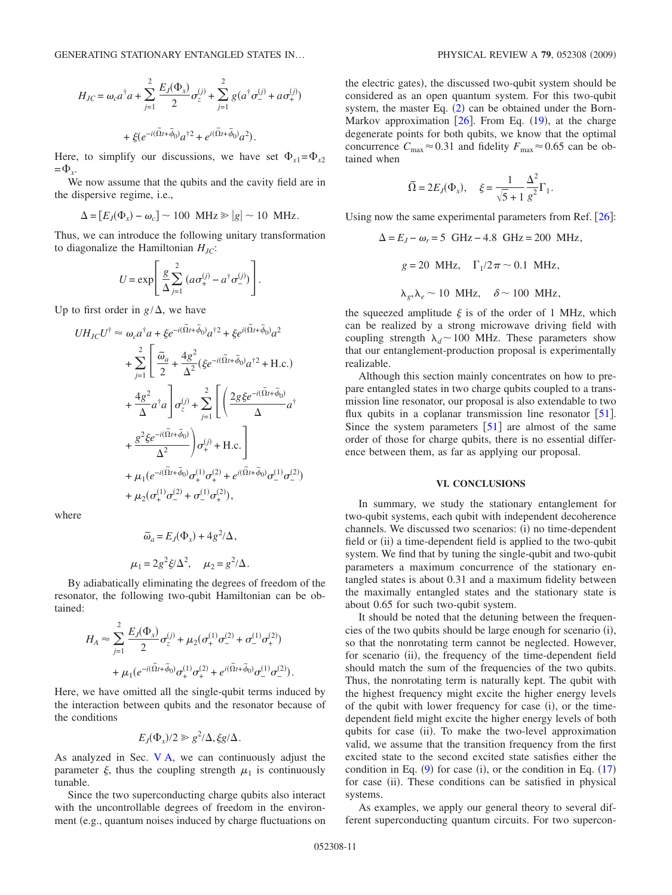$$
H_{JC} = \omega_c a^{\dagger} a + \sum_{j=1}^{2} \frac{E_J(\Phi_x)}{2} \sigma_z^{(j)} + \sum_{j=1}^{2} g(a^{\dagger} \sigma_-^{(j)} + a \sigma_+^{(j)}) + \xi (e^{-i(\tilde{\Omega}t + \tilde{\phi}_0)} a^{\dagger 2} + e^{i(\tilde{\Omega}t + \tilde{\phi}_0)} a^2).
$$

Here, to simplify our discussions, we have set  $\Phi_{x1} = \Phi_{x2}$  $=\Phi_{r}$ .

We now assume that the qubits and the cavity field are in the dispersive regime, i.e.,

$$
\Delta = [E_J(\Phi_x) - \omega_c] \sim 100 \text{ MHz} \ge |g| \sim 10 \text{ MHz}.
$$

Thus, we can introduce the following unitary transformation to diagonalize the Hamiltonian  $H_{JC}$ :

$$
U = \exp\left[\frac{g}{\Delta} \sum_{j=1}^{2} \left( a \sigma_{+}^{(j)} - a^{\dagger} \sigma_{-}^{(j)} \right) \right].
$$

Up to first order in  $g/\Delta$ , we have

$$
UH_{JC}U^{\dagger} \approx \omega_c a^{\dagger} a + \xi e^{-i(\tilde{\Omega}t + \tilde{\phi}_0)} a^{\dagger 2} + \xi e^{i(\tilde{\Omega}t + \tilde{\phi}_0)} a^2
$$
  
+ 
$$
\sum_{j=1}^2 \left[ \frac{\tilde{\omega}_a}{2} + \frac{4g^2}{\Delta^2} (\xi e^{-i(\tilde{\Omega}t + \tilde{\phi}_0)} a^{\dagger 2} + \text{H.c.}) + \frac{4g^2}{\Delta} a^{\dagger} a \right] \sigma_z^{(j)} + \sum_{j=1}^2 \left[ \left( \frac{2g \xi e^{-i(\tilde{\Omega}t + \tilde{\phi}_0)}}{\Delta} a^{\dagger} + \frac{g^2 \xi e^{-i(\tilde{\Omega}t + \tilde{\phi}_0)}}{\Delta^2} \right) \sigma_+^{(j)} + \text{H.c.} \right] + \mu_1 (e^{-i(\tilde{\Omega}t + \tilde{\phi}_0)} \sigma_+^{(1)} \sigma_+^{(2)} + e^{i(\tilde{\Omega}t + \tilde{\phi}_0)} \sigma_-^{(1)} \sigma_-^{(2)}) + \mu_2 (\sigma_+^{(1)} \sigma_-^{(2)} + \sigma_-^{(1)} \sigma_+^{(2)}),
$$

where

$$
\widetilde{\omega}_a = E_J(\Phi_x) + 4g^2/\Delta,
$$
  

$$
\mu_1 = 2g^2 \xi/\Delta^2, \quad \mu_2 = g^2/\Delta.
$$

By adiabatically eliminating the degrees of freedom of the resonator, the following two-qubit Hamiltonian can be obtained:

$$
H_A \approx \sum_{j=1}^{2} \frac{E_j(\Phi_x)}{2} \sigma_z^{(j)} + \mu_2(\sigma_+^{(1)} \sigma_-^{(2)} + \sigma_-^{(1)} \sigma_+^{(2)})
$$
  
+ 
$$
\mu_1(e^{-i(\tilde{\Omega}t + \tilde{\phi}_0)} \sigma_+^{(1)} \sigma_+^{(2)} + e^{i(\tilde{\Omega}t + \tilde{\phi}_0)} \sigma_-^{(1)} \sigma_-^{(2)}).
$$

Here, we have omitted all the single-qubit terms induced by the interaction between qubits and the resonator because of the conditions

$$
E_J(\Phi_x)/2 \geq g^2/\Delta, \xi g/\Delta.
$$

As analyzed in Sec. [V A,](#page-9-3) we can continuously adjust the parameter  $\xi$ , thus the coupling strength  $\mu_1$  is continuously tunable.

Since the two superconducting charge qubits also interact with the uncontrollable degrees of freedom in the environment (e.g., quantum noises induced by charge fluctuations on

the electric gates), the discussed two-qubit system should be considered as an open quantum system. For this two-qubit system, the master Eq.  $(2)$  $(2)$  $(2)$  can be obtained under the Born-Markov approximation  $[26]$  $[26]$  $[26]$ . From Eq.  $(19)$  $(19)$  $(19)$ , at the charge degenerate points for both qubits, we know that the optimal concurrence  $C_{\text{max}} \approx 0.31$  and fidelity  $F_{\text{max}} \approx 0.65$  can be obtained when

$$
\widetilde{\Omega} = 2E_J(\Phi_x), \quad \xi = \frac{1}{\sqrt{5} + 1} \frac{\Delta^2}{g^2} \Gamma_1.
$$

Using now the same experimental parameters from Ref.  $[26]$  $[26]$  $[26]$ :

$$
\Delta = E_J - \omega_r = 5 \text{ GHz} - 4.8 \text{ GHz} = 200 \text{ MHz},
$$
  

$$
g = 20 \text{ MHz}, \quad \Gamma_1/2\pi \sim 0.1 \text{ MHz},
$$
  

$$
\lambda_g, \lambda_e \sim 10 \text{ MHz}, \quad \delta \sim 100 \text{ MHz},
$$

the squeezed amplitude  $\xi$  is of the order of 1 MHz, which can be realized by a strong microwave driving field with coupling strength  $\lambda_d$  ~ 100 MHz. These parameters show that our entanglement-production proposal is experimentally realizable.

Although this section mainly concentrates on how to prepare entangled states in two charge qubits coupled to a transmission line resonator, our proposal is also extendable to two flux qubits in a coplanar transmission line resonator  $[51]$  $[51]$  $[51]$ . Since the system parameters  $\lceil 51 \rceil$  $\lceil 51 \rceil$  $\lceil 51 \rceil$  are almost of the same order of those for charge qubits, there is no essential difference between them, as far as applying our proposal.

#### **VI. CONCLUSIONS**

<span id="page-10-0"></span>In summary, we study the stationary entanglement for two-qubit systems, each qubit with independent decoherence channels. We discussed two scenarios: (i) no time-dependent field or (ii) a time-dependent field is applied to the two-qubit system. We find that by tuning the single-qubit and two-qubit parameters a maximum concurrence of the stationary entangled states is about 0.31 and a maximum fidelity between the maximally entangled states and the stationary state is about 0.65 for such two-qubit system.

It should be noted that the detuning between the frequencies of the two qubits should be large enough for scenario (i), so that the nonrotating term cannot be neglected. However, for scenario (ii), the frequency of the time-dependent field should match the sum of the frequencies of the two qubits. Thus, the nonrotating term is naturally kept. The qubit with the highest frequency might excite the higher energy levels of the qubit with lower frequency for case (i), or the timedependent field might excite the higher energy levels of both qubits for case (ii). To make the two-level approximation valid, we assume that the transition frequency from the first excited state to the second excited state satisfies either the condition in Eq.  $(9)$  $(9)$  $(9)$  for case  $(i)$ , or the condition in Eq.  $(17)$  $(17)$  $(17)$ for case (ii). These conditions can be satisfied in physical systems.

As examples, we apply our general theory to several different superconducting quantum circuits. For two supercon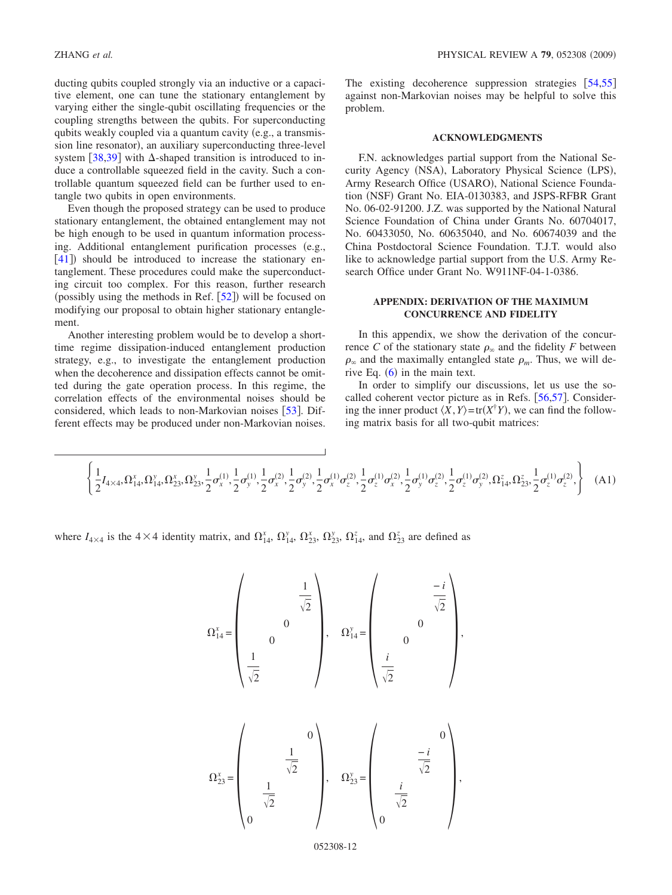tive element, one can tune the stationary entanglement by varying either the single-qubit oscillating frequencies or the coupling strengths between the qubits. For superconducting qubits weakly coupled via a quantum cavity (e.g., a transmission line resonator), an auxiliary superconducting three-level system [[38](#page-14-7)[,39](#page-14-8)] with  $\Delta$ -shaped transition is introduced to induce a controllable squeezed field in the cavity. Such a controllable quantum squeezed field can be further used to entangle two qubits in open environments.

Even though the proposed strategy can be used to produce stationary entanglement, the obtained entanglement may not be high enough to be used in quantum information processing. Additional entanglement purification processes (e.g.,  $[41]$  $[41]$  $[41]$ ) should be introduced to increase the stationary entanglement. These procedures could make the superconducting circuit too complex. For this reason, further research (possibly using the methods in Ref.  $[52]$  $[52]$  $[52]$ ) will be focused on modifying our proposal to obtain higher stationary entanglement.

Another interesting problem would be to develop a shorttime regime dissipation-induced entanglement production strategy, e.g., to investigate the entanglement production when the decoherence and dissipation effects cannot be omitted during the gate operation process. In this regime, the correlation effects of the environmental noises should be considered, which leads to non-Markovian noises  $[53]$  $[53]$  $[53]$ . Different effects may be produced under non-Markovian noises. The existing decoherence suppression strategies  $[54,55]$  $[54,55]$  $[54,55]$  $[54,55]$ against non-Markovian noises may be helpful to solve this problem.

### **ACKNOWLEDGMENTS**

F.N. acknowledges partial support from the National Security Agency (NSA), Laboratory Physical Science (LPS), Army Research Office (USARO), National Science Foundation (NSF) Grant No. EIA-0130383, and JSPS-RFBR Grant No. 06-02-91200. J.Z. was supported by the National Natural Science Foundation of China under Grants No. 60704017, No. 60433050, No. 60635040, and No. 60674039 and the China Postdoctoral Science Foundation. T.J.T. would also like to acknowledge partial support from the U.S. Army Research Office under Grant No. W911NF-04-1-0386.

### **APPENDIX: DERIVATION OF THE MAXIMUM CONCURRENCE AND FIDELITY**

In this appendix, we show the derivation of the concurrence *C* of the stationary state  $\rho_{\infty}$  and the fidelity *F* between  $\rho_{\infty}$  and the maximally entangled state  $\rho_m$ . Thus, we will derive Eq.  $(6)$  $(6)$  $(6)$  in the main text.

In order to simplify our discussions, let us use the socalled coherent vector picture as in Refs.  $[56,57]$  $[56,57]$  $[56,57]$  $[56,57]$ . Considering the inner product  $\langle X, Y \rangle = \text{tr}(X^{\dagger}Y)$ , we can find the following matrix basis for all two-qubit matrices:

,

<span id="page-11-0"></span>
$$
\left\{\frac{1}{2}I_{4\times 4}, \Omega_{14}^{x}, \Omega_{14}^{y}, \Omega_{23}^{x}, \Omega_{23}^{y}, \frac{1}{2}\sigma_{x}^{(1)}, \frac{1}{2}\sigma_{y}^{(1)}, \frac{1}{2}\sigma_{x}^{(2)}, \frac{1}{2}\sigma_{y}^{(2)}, \frac{1}{2}\sigma_{x}^{(1)}\sigma_{z}^{(2)}, \frac{1}{2}\sigma_{z}^{(1)}\sigma_{x}^{(2)}, \frac{1}{2}\sigma_{y}^{(1)}\sigma_{z}^{(2)}, \frac{1}{2}\sigma_{z}^{(1)}\sigma_{y}^{(2)}, \Omega_{14}^{z}, \Omega_{23}^{z}, \frac{1}{2}\sigma_{z}^{(1)}\sigma_{z}^{(2)}, \right\}
$$
(A1)

where  $I_{4\times4}$  is the  $4\times4$  identity matrix, and  $\Omega_{14}^x$ ,  $\Omega_{14}^y$ ,  $\Omega_{23}^x$ ,  $\Omega_{23}^y$ ,  $\Omega_{14}^z$ , and  $\Omega_{23}^z$  are defined as

$$
\Omega^x_{14} = \begin{pmatrix} 1 \\ 0 \\ 0 \\ \frac{1}{\sqrt{2}} \\ 0 \end{pmatrix}, \quad \Omega^y_{14} = \begin{pmatrix} -i \\ i \\ 0 \\ \frac{i}{\sqrt{2}} \\ 0 \end{pmatrix},
$$

$$
\Omega_{23}^{x} = \begin{pmatrix} 0 \\ \frac{1}{\sqrt{2}} \\ \frac{1}{\sqrt{2}} \\ 0 \end{pmatrix}, \quad \Omega_{23}^{y} = \begin{pmatrix} 0 \\ -i \\ \frac{i}{\sqrt{2}} \\ 0 \end{pmatrix}
$$

052308-12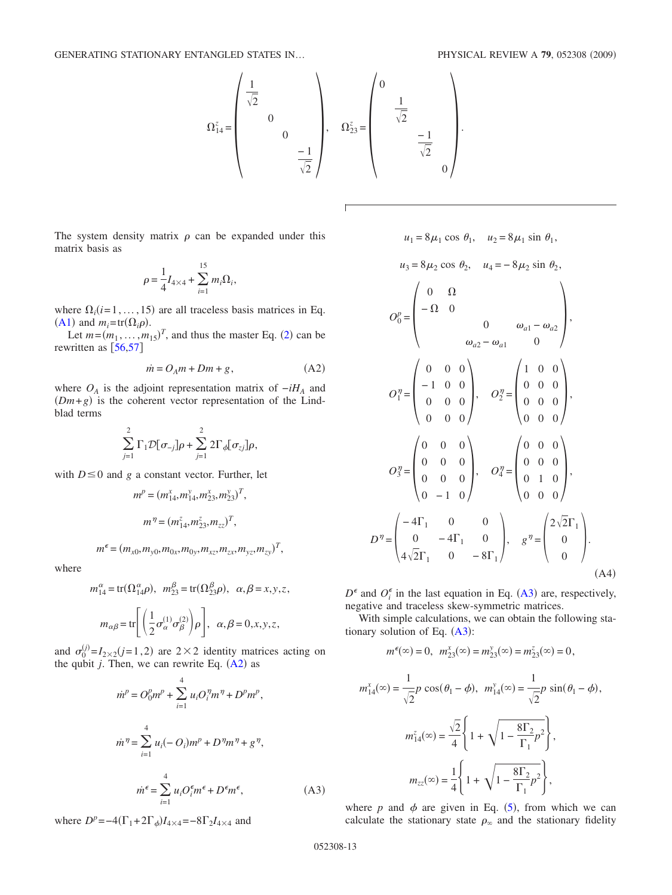

The system density matrix  $\rho$  can be expanded under this matrix basis as

$$
\rho = \frac{1}{4}I_{4\times4} + \sum_{i=1}^{15} m_i \Omega_i,
$$

where  $\Omega_i$  (*i*=1, ..., 15) are all traceless basis matrices in Eq. ([A1](#page-11-0)) and  $m_i = \text{tr}(\Omega_i \rho)$ .

Let  $m = (m_1, \ldots, m_{15})^T$ , and thus the master Eq. ([2](#page-1-1)) can be rewritten as  $[56,57]$  $[56,57]$  $[56,57]$  $[56,57]$ 

$$
\dot{m} = O_A m + Dm + g,\tag{A2}
$$

<span id="page-12-0"></span>where  $O_A$  is the adjoint representation matrix of  $-iH_A$  and  $(Dm+g)$  is the coherent vector representation of the Lindblad terms

$$
\sum_{j=1}^2 \Gamma_1 \mathcal{D}[\sigma_{-j}]\rho + \sum_{j=1}^2 2\Gamma_{\phi}[\sigma_{zj}]\rho,
$$

with  $D \le 0$  and *g* a constant vector. Further, let

$$
m^{p} = (m_{14}^{x}, m_{14}^{y}, m_{23}^{x}, m_{23}^{y})^{T},
$$

$$
m^{q} = (m_{14}^{z}, m_{23}^{z}, m_{zz})^{T},
$$

$$
m^{\epsilon} = (m_{x0}, m_{y0}, m_{0x}, m_{0y}, m_{xz}, m_{zx}, m_{yz}, m_{zy})^{T},
$$

where

$$
m_{14}^{\alpha} = \text{tr}(\Omega_{14}^{\alpha}\rho), \quad m_{23}^{\beta} = \text{tr}(\Omega_{23}^{\beta}\rho), \quad \alpha, \beta = x, y, z,
$$

$$
m_{\alpha\beta} = \text{tr}\left[\left(\frac{1}{2}\sigma_{\alpha}^{(1)}\sigma_{\beta}^{(2)}\right)\rho\right], \quad \alpha, \beta = 0, x, y, z,
$$

<span id="page-12-1"></span>and  $\sigma_0^{(j)} = I_{2 \times 2}(j=1,2)$  are  $2 \times 2$  identity matrices acting on the qubit  $j$ . Then, we can rewrite Eq.  $(A2)$  $(A2)$  $(A2)$  as

$$
\dot{m}^{p} = O_{0}^{p} m^{p} + \sum_{i=1}^{4} u_{i} O_{i}^{\eta} m^{\eta} + D^{p} m^{p},
$$
  

$$
\dot{m}^{\eta} = \sum_{i=1}^{4} u_{i} (-O_{i}) m^{p} + D^{\eta} m^{\eta} + g^{\eta},
$$
  

$$
\dot{m}^{\epsilon} = \sum_{i=1}^{4} u_{i} O_{i}^{\epsilon} m^{\epsilon} + D^{\epsilon} m^{\epsilon},
$$
 (A3)

where  $D^p = -4(\Gamma_1 + 2\Gamma_\phi)I_{4\times 4} = -8\Gamma_2 I_{4\times 4}$  and

$$
u_{1} = 8\mu_{1} \cos \theta_{1}, \quad u_{2} = 8\mu_{1} \sin \theta_{1},
$$
\n
$$
u_{3} = 8\mu_{2} \cos \theta_{2}, \quad u_{4} = -8\mu_{2} \sin \theta_{2},
$$
\n
$$
O_{0}^{p} = \begin{pmatrix} 0 & \Omega & & & \\ -\Omega & 0 & & & \\ & 0 & & \omega_{a1} - \omega_{a2} \\ & & \omega_{a2} - \omega_{a1} & 0 \end{pmatrix},
$$
\n
$$
O_{1}^{q} = \begin{pmatrix} 0 & 0 & 0 \\ -1 & 0 & 0 \\ 0 & 0 & 0 \end{pmatrix}, \quad O_{2}^{q} = \begin{pmatrix} 1 & 0 & 0 \\ 0 & 0 & 0 \\ 0 & 0 & 0 \end{pmatrix},
$$
\n
$$
O_{3}^{q} = \begin{pmatrix} 0 & 0 & 0 \\ 0 & 0 & 0 \\ 0 & 0 & 0 \end{pmatrix}, \quad O_{4}^{q} = \begin{pmatrix} 0 & 0 & 0 \\ 0 & 0 & 0 \\ 0 & 1 & 0 \end{pmatrix},
$$
\n
$$
D^{q} = \begin{pmatrix} -4\Gamma_{1} & 0 & 0 \\ 0 & -4\Gamma_{1} & 0 \\ 4\sqrt{2}\Gamma_{1} & 0 & -8\Gamma_{1} \end{pmatrix}, \quad g^{q} = \begin{pmatrix} 2\sqrt{2}\Gamma_{1} \\ 0 \\ 0 \\ 0 \end{pmatrix}.
$$

 $D^{\epsilon}$  and  $O_i^{\epsilon}$  in the last equation in Eq. ([A3](#page-12-1)) are, respectively, negative and traceless skew-symmetric matrices.

 $(A4)$ 

With simple calculations, we can obtain the following stationary solution of Eq.  $(A3)$  $(A3)$  $(A3)$ :

$$
m^{\epsilon}(\infty) = 0
$$
,  $m^x_{23}(\infty) = m^y_{23}(\infty) = m^z_{23}(\infty) = 0$ ,

$$
m_{14}^{x}(\infty) = \frac{1}{\sqrt{2}} p \cos(\theta_1 - \phi), \quad m_{14}^{y}(\infty) = \frac{1}{\sqrt{2}} p \sin(\theta_1 - \phi),
$$

$$
m_{14}^{z}(\infty) = \frac{\sqrt{2}}{4} \left\{ 1 + \sqrt{1 - \frac{8\Gamma_2}{\Gamma_1} p^2} \right\},
$$

$$
m_{zz}(\infty) = \frac{1}{4} \left\{ 1 + \sqrt{1 - \frac{8\Gamma_2}{\Gamma_1} p^2} \right\},
$$

where p and  $\phi$  are given in Eq. ([5](#page-2-0)), from which we can calculate the stationary state  $\rho_{\infty}$  and the stationary fidelity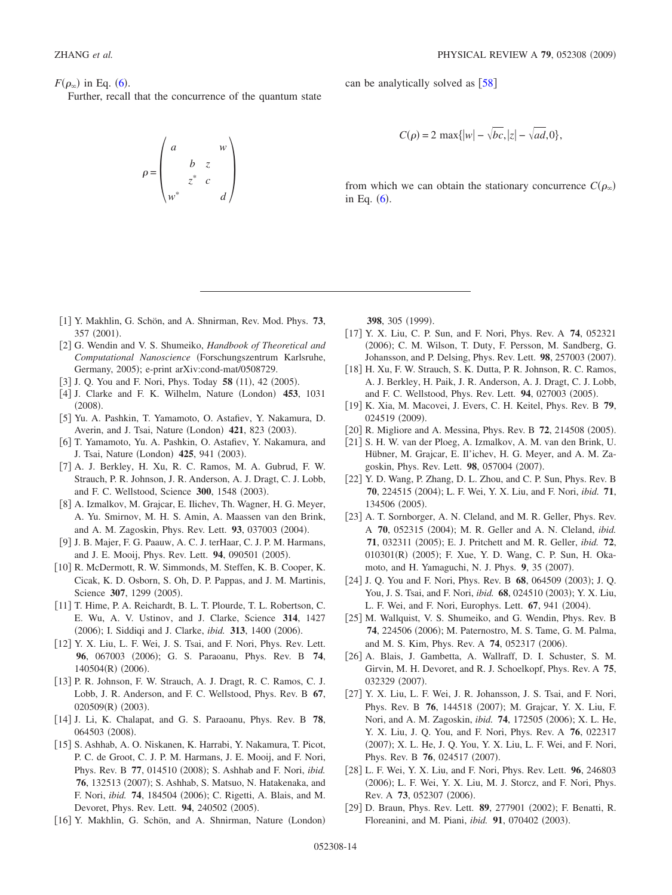$F(\rho_\infty)$  in Eq. ([6](#page-2-1)).

Further, recall that the concurrence of the quantum state

$$
\rho = \begin{pmatrix} a & & w \\ & b & z \\ & & z^* & c \\ w^* & & & d \end{pmatrix}
$$

can be analytically solved as  $[58]$  $[58]$  $[58]$ 

$$
C(\rho) = 2 \max\{|w| - \sqrt{bc}, |z| - \sqrt{ad}, 0\},\
$$

from which we can obtain the stationary concurrence  $C(\rho_\infty)$ in Eq.  $(6)$  $(6)$  $(6)$ .

- 1 Y. Makhlin, G. Schön, and A. Shnirman, Rev. Mod. Phys. **73**, 357 (2001).
- <span id="page-13-20"></span><span id="page-13-0"></span>2 G. Wendin and V. S. Shumeiko, *Handbook of Theoretical and Computational Nanoscience* Forschungszentrum Karlsruhe, Germany, 2005); e-print arXiv:cond-mat/0508729.
- [3] J. Q. You and F. Nori, Phys. Today **58** (11), 42 (2005).
- <span id="page-13-19"></span>[4] J. Clarke and F. K. Wilhelm, Nature (London) **453**, 1031  $(2008).$
- <span id="page-13-1"></span>5 Yu. A. Pashkin, T. Yamamoto, O. Astafiev, Y. Nakamura, D. Averin, and J. Tsai, Nature (London) 421, 823 (2003).
- <span id="page-13-2"></span>6 T. Yamamoto, Yu. A. Pashkin, O. Astafiev, Y. Nakamura, and J. Tsai, Nature (London) **425**, 941 (2003).
- <span id="page-13-5"></span>7 A. J. Berkley, H. Xu, R. C. Ramos, M. A. Gubrud, F. W. Strauch, P. R. Johnson, J. R. Anderson, A. J. Dragt, C. J. Lobb, and F. C. Wellstood, Science 300, 1548 (2003).
- <span id="page-13-6"></span>[8] A. Izmalkov, M. Grajcar, E. Ilichev, Th. Wagner, H. G. Meyer, A. Yu. Smirnov, M. H. S. Amin, A. Maassen van den Brink, and A. M. Zagoskin, Phys. Rev. Lett. 93, 037003 (2004).
- 9 J. B. Majer, F. G. Paauw, A. C. J. terHaar, C. J. P. M. Harmans, and J. E. Mooij, Phys. Rev. Lett. 94, 090501 (2005).
- <span id="page-13-18"></span><span id="page-13-7"></span>10 R. McDermott, R. W. Simmonds, M. Steffen, K. B. Cooper, K. Cicak, K. D. Osborn, S. Oh, D. P. Pappas, and J. M. Martinis, Science 307, 1299 (2005).
- <span id="page-13-3"></span>11 T. Hime, P. A. Reichardt, B. L. T. Plourde, T. L. Robertson, C. E. Wu, A. V. Ustinov, and J. Clarke, Science **314**, 1427 (2006); I. Siddiqi and J. Clarke, *ibid.* **313**, 1400 (2006).
- <span id="page-13-8"></span>[12] Y. X. Liu, L. F. Wei, J. S. Tsai, and F. Nori, Phys. Rev. Lett. 96, 067003 (2006); G. S. Paraoanu, Phys. Rev. B 74, 140504(R) (2006).
- 13 P. R. Johnson, F. W. Strauch, A. J. Dragt, R. C. Ramos, C. J. Lobb, J. R. Anderson, and F. C. Wellstood, Phys. Rev. B **67**, 020509(R) (2003).
- 14 J. Li, K. Chalapat, and G. S. Paraoanu, Phys. Rev. B **78**, 064503 (2008).
- [15] S. Ashhab, A. O. Niskanen, K. Harrabi, Y. Nakamura, T. Picot, P. C. de Groot, C. J. P. M. Harmans, J. E. Mooij, and F. Nori, Phys. Rev. B 77, 014510 (2008); S. Ashhab and F. Nori, *ibid.* 76, 132513 (2007); S. Ashhab, S. Matsuo, N. Hatakenaka, and F. Nori, *ibid.* **74**, 184504 (2006); C. Rigetti, A. Blais, and M. Devoret, Phys. Rev. Lett. 94, 240502 (2005).
- <span id="page-13-9"></span>[16] Y. Makhlin, G. Schön, and A. Shnirman, Nature (London)

**398**, 305 (1999).

- <span id="page-13-22"></span>17 Y. X. Liu, C. P. Sun, and F. Nori, Phys. Rev. A **74**, 052321 (2006); C. M. Wilson, T. Duty, F. Persson, M. Sandberg, G. Johansson, and P. Delsing, Phys. Rev. Lett. 98, 257003 (2007).
- 18 H. Xu, F. W. Strauch, S. K. Dutta, P. R. Johnson, R. C. Ramos, A. J. Berkley, H. Paik, J. R. Anderson, A. J. Dragt, C. J. Lobb, and F. C. Wellstood, Phys. Rev. Lett. 94, 027003 (2005).
- 19 K. Xia, M. Macovei, J. Evers, C. H. Keitel, Phys. Rev. B **79**, 024519 (2009).
- <span id="page-13-10"></span>[20] R. Migliore and A. Messina, Phys. Rev. B 72, 214508 (2005).
- <span id="page-13-21"></span><span id="page-13-11"></span>21 S. H. W. van der Ploeg, A. Izmalkov, A. M. van den Brink, U. Hübner, M. Grajcar, E. Il'ichev, H. G. Meyer, and A. M. Zagoskin, Phys. Rev. Lett. 98, 057004 (2007).
- <span id="page-13-12"></span>[22] Y. D. Wang, P. Zhang, D. L. Zhou, and C. P. Sun, Phys. Rev. B 70, 224515 (2004); L. F. Wei, Y. X. Liu, and F. Nori, *ibid.* 71, 134506 (2005).
- <span id="page-13-13"></span>[23] A. T. Sornborger, A. N. Cleland, and M. R. Geller, Phys. Rev. A 70, 052315 (2004); M. R. Geller and A. N. Cleland, *ibid.* **71**, 032311 (2005); E. J. Pritchett and M. R. Geller, *ibid.* **72**, 010301(R) (2005); F. Xue, Y. D. Wang, C. P. Sun, H. Okamoto, and H. Yamaguchi, N. J. Phys. 9, 35 (2007).
- <span id="page-13-14"></span>[24] J. Q. You and F. Nori, Phys. Rev. B **68**, 064509 (2003); J. Q. You, J. S. Tsai, and F. Nori, *ibid.* 68, 024510 (2003); Y. X. Liu, L. F. Wei, and F. Nori, Europhys. Lett. 67, 941 (2004).
- [25] M. Wallquist, V. S. Shumeiko, and G. Wendin, Phys. Rev. B 74, 224506 (2006); M. Paternostro, M. S. Tame, G. M. Palma, and M. S. Kim, Phys. Rev. A **74**, 052317 (2006).
- <span id="page-13-15"></span>[26] A. Blais, J. Gambetta, A. Wallraff, D. I. Schuster, S. M. Girvin, M. H. Devoret, and R. J. Schoelkopf, Phys. Rev. A **75**, 032329 (2007).
- <span id="page-13-4"></span>[27] Y. X. Liu, L. F. Wei, J. R. Johansson, J. S. Tsai, and F. Nori, Phys. Rev. B 76, 144518 (2007); M. Grajcar, Y. X. Liu, F. Nori, and A. M. Zagoskin, *ibid.* **74**, 172505 (2006); X. L. He, Y. X. Liu, J. Q. You, and F. Nori, Phys. Rev. A **76**, 022317 (2007); X. L. He, J. Q. You, Y. X. Liu, L. F. Wei, and F. Nori, Phys. Rev. B 76, 024517 (2007).
- <span id="page-13-16"></span>28 L. F. Wei, Y. X. Liu, and F. Nori, Phys. Rev. Lett. **96**, 246803 (2006); L. F. Wei, Y. X. Liu, M. J. Storcz, and F. Nori, Phys. Rev. A 73, 052307 (2006).
- <span id="page-13-17"></span>[29] D. Braun, Phys. Rev. Lett. **89**, 277901 (2002); F. Benatti, R. Floreanini, and M. Piani, *ibid.* 91, 070402 (2003).